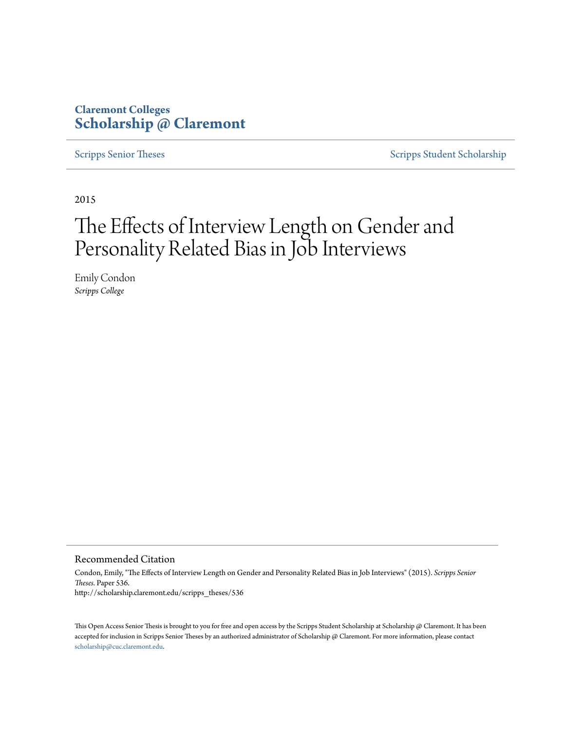## **Claremont Colleges [Scholarship @ Claremont](http://scholarship.claremont.edu)**

[Scripps Senior Theses](http://scholarship.claremont.edu/scripps_theses) [Scripps Student Scholarship](http://scholarship.claremont.edu/scripps_student)

2015

# The Effects of Interview Length on Gender and Personality Related Bias in Job Interviews

Emily Condon *Scripps College*

#### Recommended Citation

Condon, Emily, "The Effects of Interview Length on Gender and Personality Related Bias in Job Interviews" (2015). *Scripps Senior Theses.* Paper 536. http://scholarship.claremont.edu/scripps\_theses/536

This Open Access Senior Thesis is brought to you for free and open access by the Scripps Student Scholarship at Scholarship @ Claremont. It has been accepted for inclusion in Scripps Senior Theses by an authorized administrator of Scholarship @ Claremont. For more information, please contact [scholarship@cuc.claremont.edu.](mailto:scholarship@cuc.claremont.edu)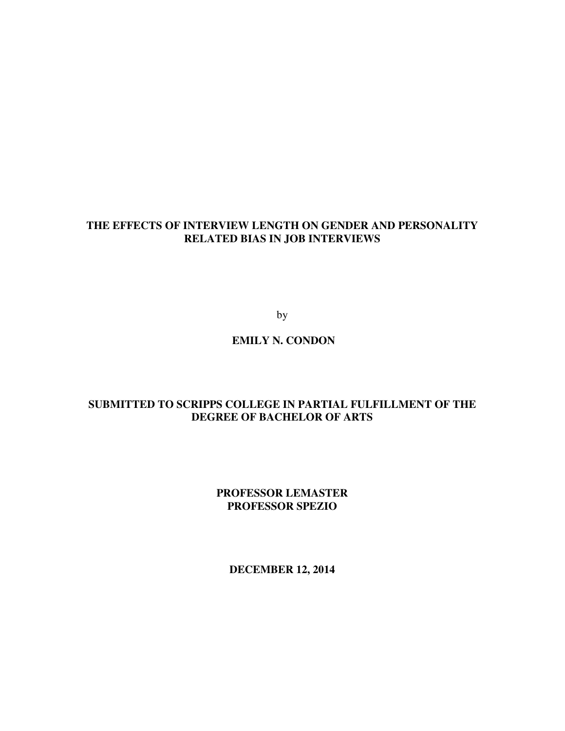## **THE EFFECTS OF INTERVIEW LENGTH ON GENDER AND PERSONALITY RELATED BIAS IN JOB INTERVIEWS**

by

 **EMILY N. CONDON** 

## **SUBMITTED TO SCRIPPS COLLEGE IN PARTIAL FULFILLMENT OF THE DEGREE OF BACHELOR OF ARTS**

**PROFESSOR LEMASTER PROFESSOR SPEZIO** 

**DECEMBER 12, 2014**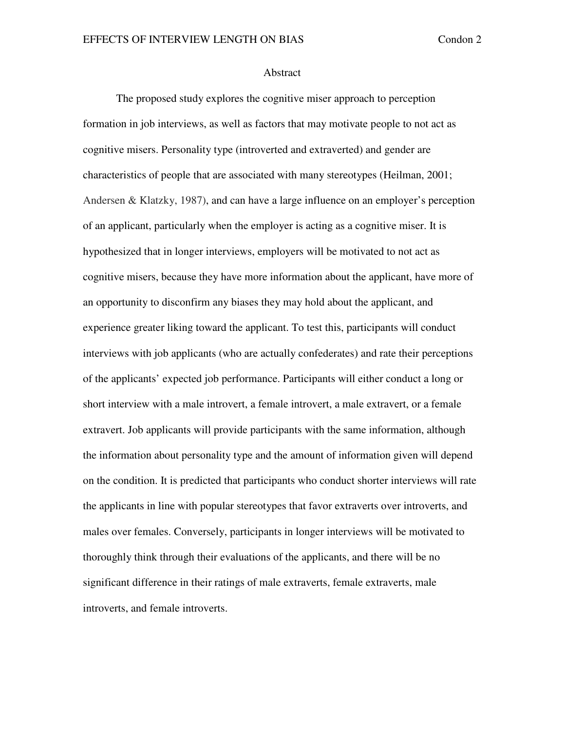#### Abstract

The proposed study explores the cognitive miser approach to perception formation in job interviews, as well as factors that may motivate people to not act as cognitive misers. Personality type (introverted and extraverted) and gender are characteristics of people that are associated with many stereotypes (Heilman, 2001; Andersen & Klatzky, 1987), and can have a large influence on an employer's perception of an applicant, particularly when the employer is acting as a cognitive miser. It is hypothesized that in longer interviews, employers will be motivated to not act as cognitive misers, because they have more information about the applicant, have more of an opportunity to disconfirm any biases they may hold about the applicant, and experience greater liking toward the applicant. To test this, participants will conduct interviews with job applicants (who are actually confederates) and rate their perceptions of the applicants' expected job performance. Participants will either conduct a long or short interview with a male introvert, a female introvert, a male extravert, or a female extravert. Job applicants will provide participants with the same information, although the information about personality type and the amount of information given will depend on the condition. It is predicted that participants who conduct shorter interviews will rate the applicants in line with popular stereotypes that favor extraverts over introverts, and males over females. Conversely, participants in longer interviews will be motivated to thoroughly think through their evaluations of the applicants, and there will be no significant difference in their ratings of male extraverts, female extraverts, male introverts, and female introverts.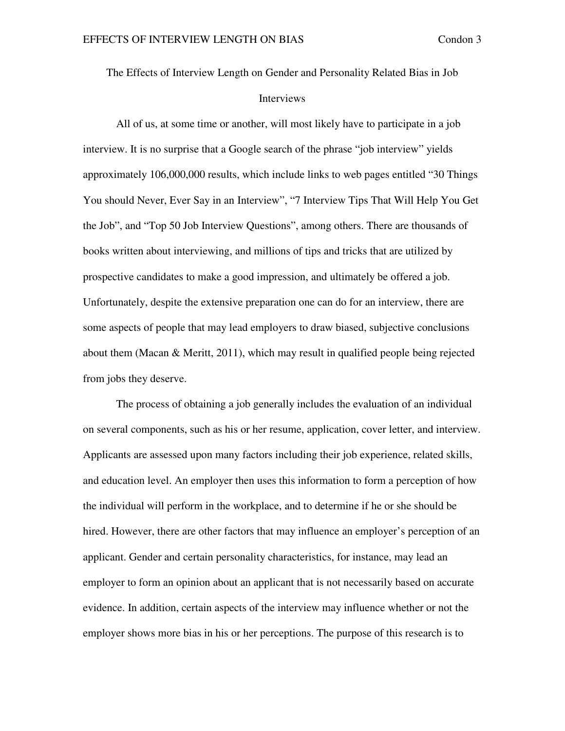The Effects of Interview Length on Gender and Personality Related Bias in Job Interviews

All of us, at some time or another, will most likely have to participate in a job interview. It is no surprise that a Google search of the phrase "job interview" yields approximately 106,000,000 results, which include links to web pages entitled "30 Things You should Never, Ever Say in an Interview", "7 Interview Tips That Will Help You Get the Job", and "Top 50 Job Interview Questions", among others. There are thousands of books written about interviewing, and millions of tips and tricks that are utilized by prospective candidates to make a good impression, and ultimately be offered a job. Unfortunately, despite the extensive preparation one can do for an interview, there are some aspects of people that may lead employers to draw biased, subjective conclusions about them (Macan  $\&$  Meritt, 2011), which may result in qualified people being rejected from jobs they deserve.

The process of obtaining a job generally includes the evaluation of an individual on several components, such as his or her resume, application, cover letter, and interview. Applicants are assessed upon many factors including their job experience, related skills, and education level. An employer then uses this information to form a perception of how the individual will perform in the workplace, and to determine if he or she should be hired. However, there are other factors that may influence an employer's perception of an applicant. Gender and certain personality characteristics, for instance, may lead an employer to form an opinion about an applicant that is not necessarily based on accurate evidence. In addition, certain aspects of the interview may influence whether or not the employer shows more bias in his or her perceptions. The purpose of this research is to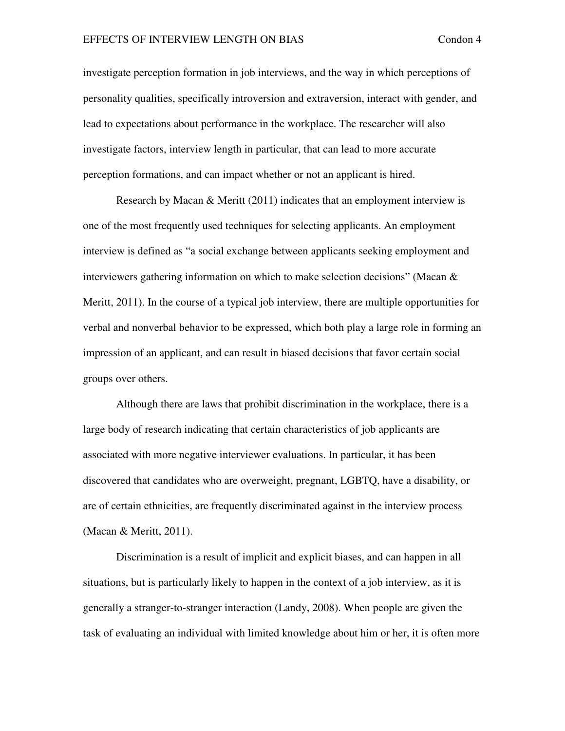investigate perception formation in job interviews, and the way in which perceptions of personality qualities, specifically introversion and extraversion, interact with gender, and lead to expectations about performance in the workplace. The researcher will also investigate factors, interview length in particular, that can lead to more accurate perception formations, and can impact whether or not an applicant is hired.

Research by Macan  $&$  Meritt (2011) indicates that an employment interview is one of the most frequently used techniques for selecting applicants. An employment interview is defined as "a social exchange between applicants seeking employment and interviewers gathering information on which to make selection decisions" (Macan & Meritt, 2011). In the course of a typical job interview, there are multiple opportunities for verbal and nonverbal behavior to be expressed, which both play a large role in forming an impression of an applicant, and can result in biased decisions that favor certain social groups over others.

Although there are laws that prohibit discrimination in the workplace, there is a large body of research indicating that certain characteristics of job applicants are associated with more negative interviewer evaluations. In particular, it has been discovered that candidates who are overweight, pregnant, LGBTQ, have a disability, or are of certain ethnicities, are frequently discriminated against in the interview process (Macan & Meritt, 2011).

Discrimination is a result of implicit and explicit biases, and can happen in all situations, but is particularly likely to happen in the context of a job interview, as it is generally a stranger-to-stranger interaction (Landy, 2008). When people are given the task of evaluating an individual with limited knowledge about him or her, it is often more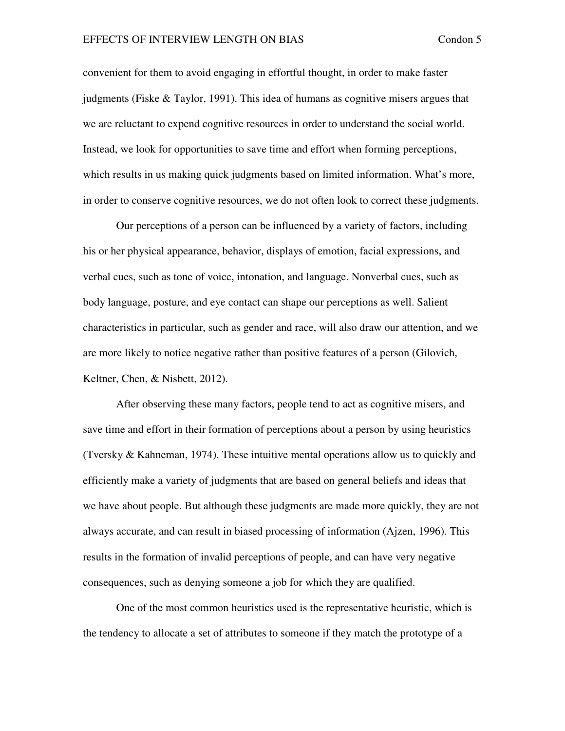convenient for them to avoid engaging in effortful thought, in order to make faster judgments (Fiske & Taylor, 1991). This idea of humans as cognitive misers argues that we are reluctant to expend cognitive resources in order to understand the social world. Instead, we look for opportunities to save time and effort when forming perceptions, which results in us making quick judgments based on limited information. What's more, in order to conserve cognitive resources, we do not often look to correct these judgments.

Our perceptions of a person can be influenced by a variety of factors, including his or her physical appearance, behavior, displays of emotion, facial expressions, and verbal cues, such as tone of voice, intonation, and language. Nonverbal cues, such as body language, posture, and eye contact can shape our perceptions as well. Salient characteristics in particular, such as gender and race, will also draw our attention, and we are more likely to notice negative rather than positive features of a person (Gilovich, Keltner, Chen, & Nisbett, 2012).

After observing these many factors, people tend to act as cognitive misers, and save time and effort in their formation of perceptions about a person by using heuristics (Tversky & Kahneman, 1974). These intuitive mental operations allow us to quickly and efficiently make a variety of judgments that are based on general beliefs and ideas that we have about people. But although these judgments are made more quickly, they are not always accurate, and can result in biased processing of information (Ajzen, 1996). This results in the formation of invalid perceptions of people, and can have very negative consequences, such as denying someone a job for which they are qualified.

One of the most common heuristics used is the representative heuristic, which is the tendency to allocate a set of attributes to someone if they match the prototype of a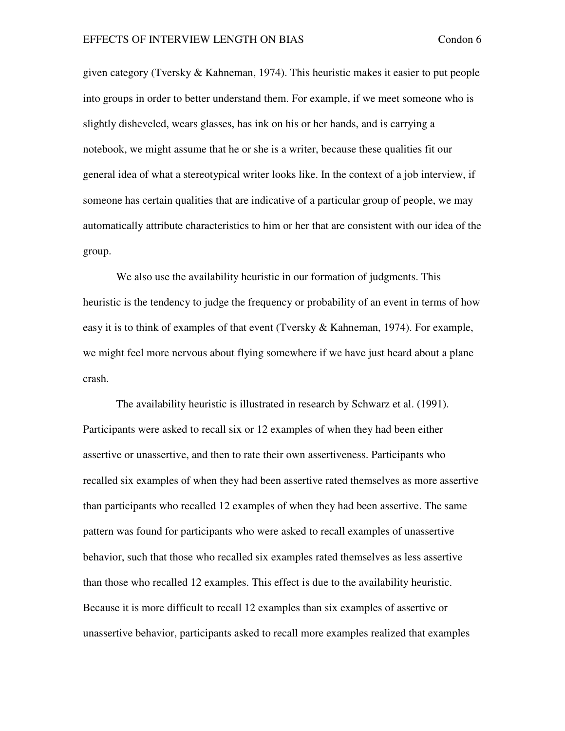given category (Tversky & Kahneman, 1974). This heuristic makes it easier to put people into groups in order to better understand them. For example, if we meet someone who is slightly disheveled, wears glasses, has ink on his or her hands, and is carrying a notebook, we might assume that he or she is a writer, because these qualities fit our general idea of what a stereotypical writer looks like. In the context of a job interview, if someone has certain qualities that are indicative of a particular group of people, we may automatically attribute characteristics to him or her that are consistent with our idea of the group.

We also use the availability heuristic in our formation of judgments. This heuristic is the tendency to judge the frequency or probability of an event in terms of how easy it is to think of examples of that event (Tversky & Kahneman, 1974). For example, we might feel more nervous about flying somewhere if we have just heard about a plane crash.

The availability heuristic is illustrated in research by Schwarz et al. (1991). Participants were asked to recall six or 12 examples of when they had been either assertive or unassertive, and then to rate their own assertiveness. Participants who recalled six examples of when they had been assertive rated themselves as more assertive than participants who recalled 12 examples of when they had been assertive. The same pattern was found for participants who were asked to recall examples of unassertive behavior, such that those who recalled six examples rated themselves as less assertive than those who recalled 12 examples. This effect is due to the availability heuristic. Because it is more difficult to recall 12 examples than six examples of assertive or unassertive behavior, participants asked to recall more examples realized that examples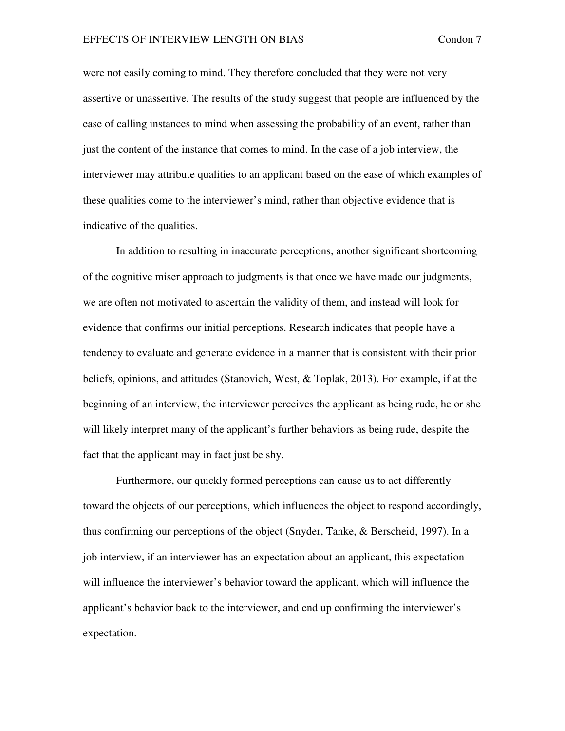were not easily coming to mind. They therefore concluded that they were not very assertive or unassertive. The results of the study suggest that people are influenced by the ease of calling instances to mind when assessing the probability of an event, rather than just the content of the instance that comes to mind. In the case of a job interview, the interviewer may attribute qualities to an applicant based on the ease of which examples of these qualities come to the interviewer's mind, rather than objective evidence that is indicative of the qualities.

In addition to resulting in inaccurate perceptions, another significant shortcoming of the cognitive miser approach to judgments is that once we have made our judgments, we are often not motivated to ascertain the validity of them, and instead will look for evidence that confirms our initial perceptions. Research indicates that people have a tendency to evaluate and generate evidence in a manner that is consistent with their prior beliefs, opinions, and attitudes (Stanovich, West, & Toplak, 2013). For example, if at the beginning of an interview, the interviewer perceives the applicant as being rude, he or she will likely interpret many of the applicant's further behaviors as being rude, despite the fact that the applicant may in fact just be shy.

Furthermore, our quickly formed perceptions can cause us to act differently toward the objects of our perceptions, which influences the object to respond accordingly, thus confirming our perceptions of the object (Snyder, Tanke, & Berscheid, 1997). In a job interview, if an interviewer has an expectation about an applicant, this expectation will influence the interviewer's behavior toward the applicant, which will influence the applicant's behavior back to the interviewer, and end up confirming the interviewer's expectation.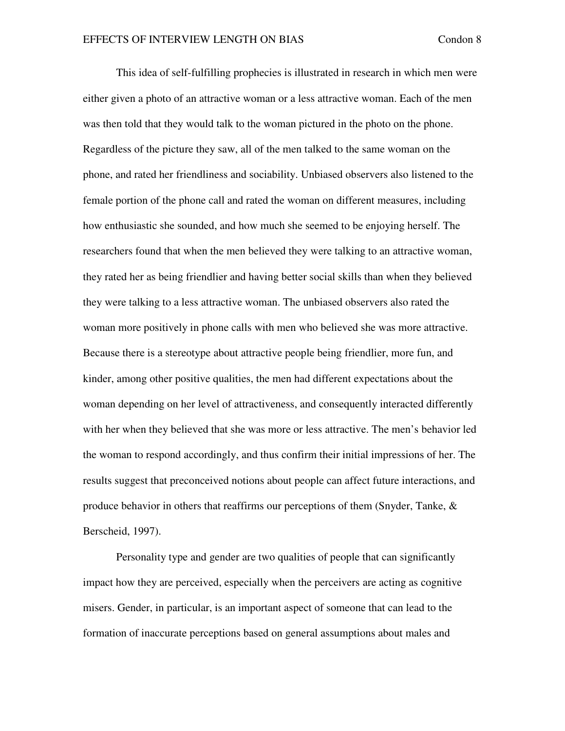This idea of self-fulfilling prophecies is illustrated in research in which men were either given a photo of an attractive woman or a less attractive woman. Each of the men was then told that they would talk to the woman pictured in the photo on the phone. Regardless of the picture they saw, all of the men talked to the same woman on the phone, and rated her friendliness and sociability. Unbiased observers also listened to the female portion of the phone call and rated the woman on different measures, including how enthusiastic she sounded, and how much she seemed to be enjoying herself. The researchers found that when the men believed they were talking to an attractive woman, they rated her as being friendlier and having better social skills than when they believed they were talking to a less attractive woman. The unbiased observers also rated the woman more positively in phone calls with men who believed she was more attractive. Because there is a stereotype about attractive people being friendlier, more fun, and kinder, among other positive qualities, the men had different expectations about the woman depending on her level of attractiveness, and consequently interacted differently with her when they believed that she was more or less attractive. The men's behavior led the woman to respond accordingly, and thus confirm their initial impressions of her. The results suggest that preconceived notions about people can affect future interactions, and produce behavior in others that reaffirms our perceptions of them (Snyder, Tanke, & Berscheid, 1997).

Personality type and gender are two qualities of people that can significantly impact how they are perceived, especially when the perceivers are acting as cognitive misers. Gender, in particular, is an important aspect of someone that can lead to the formation of inaccurate perceptions based on general assumptions about males and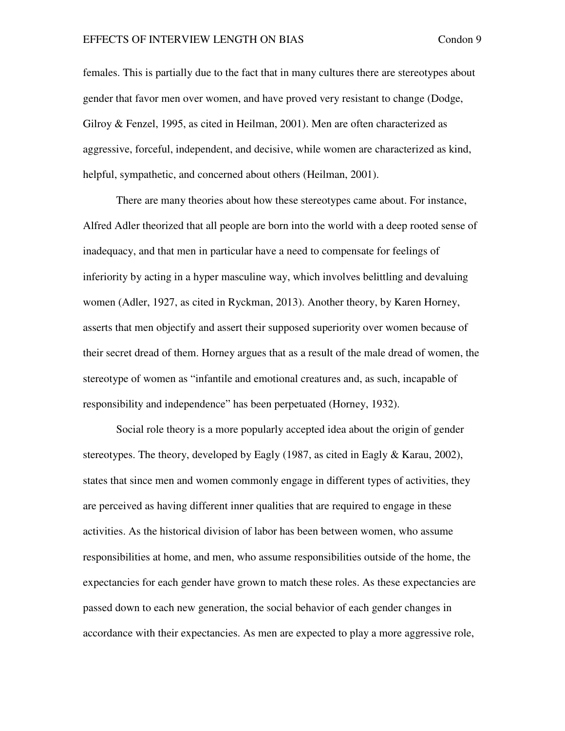females. This is partially due to the fact that in many cultures there are stereotypes about gender that favor men over women, and have proved very resistant to change (Dodge, Gilroy & Fenzel, 1995, as cited in Heilman, 2001). Men are often characterized as aggressive, forceful, independent, and decisive, while women are characterized as kind, helpful, sympathetic, and concerned about others (Heilman, 2001).

There are many theories about how these stereotypes came about. For instance, Alfred Adler theorized that all people are born into the world with a deep rooted sense of inadequacy, and that men in particular have a need to compensate for feelings of inferiority by acting in a hyper masculine way, which involves belittling and devaluing women (Adler, 1927, as cited in Ryckman, 2013). Another theory, by Karen Horney, asserts that men objectify and assert their supposed superiority over women because of their secret dread of them. Horney argues that as a result of the male dread of women, the stereotype of women as "infantile and emotional creatures and, as such, incapable of responsibility and independence" has been perpetuated (Horney, 1932).

Social role theory is a more popularly accepted idea about the origin of gender stereotypes. The theory, developed by Eagly (1987, as cited in Eagly & Karau, 2002), states that since men and women commonly engage in different types of activities, they are perceived as having different inner qualities that are required to engage in these activities. As the historical division of labor has been between women, who assume responsibilities at home, and men, who assume responsibilities outside of the home, the expectancies for each gender have grown to match these roles. As these expectancies are passed down to each new generation, the social behavior of each gender changes in accordance with their expectancies. As men are expected to play a more aggressive role,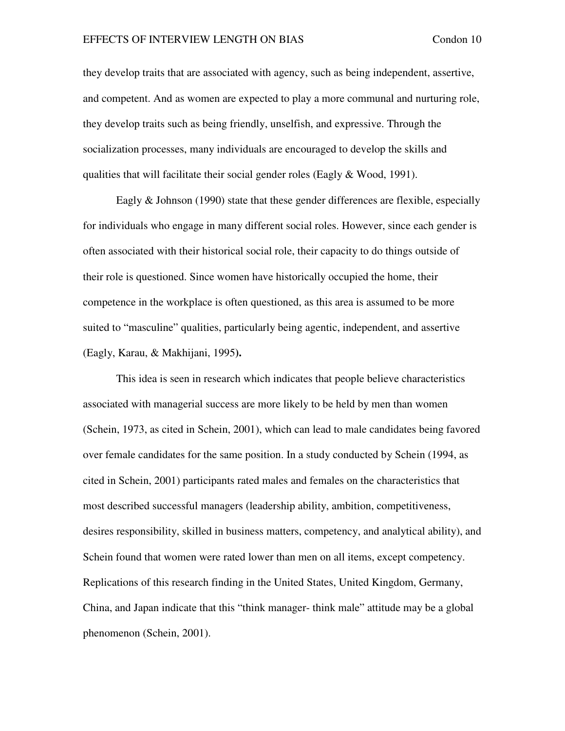they develop traits that are associated with agency, such as being independent, assertive, and competent. And as women are expected to play a more communal and nurturing role, they develop traits such as being friendly, unselfish, and expressive. Through the socialization processes, many individuals are encouraged to develop the skills and qualities that will facilitate their social gender roles (Eagly & Wood, 1991).

Eagly & Johnson (1990) state that these gender differences are flexible, especially for individuals who engage in many different social roles. However, since each gender is often associated with their historical social role, their capacity to do things outside of their role is questioned. Since women have historically occupied the home, their competence in the workplace is often questioned, as this area is assumed to be more suited to "masculine" qualities, particularly being agentic, independent, and assertive (Eagly, Karau, & Makhijani, 1995**).**

This idea is seen in research which indicates that people believe characteristics associated with managerial success are more likely to be held by men than women (Schein, 1973, as cited in Schein, 2001), which can lead to male candidates being favored over female candidates for the same position. In a study conducted by Schein (1994, as cited in Schein, 2001) participants rated males and females on the characteristics that most described successful managers (leadership ability, ambition, competitiveness, desires responsibility, skilled in business matters, competency, and analytical ability), and Schein found that women were rated lower than men on all items, except competency. Replications of this research finding in the United States, United Kingdom, Germany, China, and Japan indicate that this "think manager- think male" attitude may be a global phenomenon (Schein, 2001).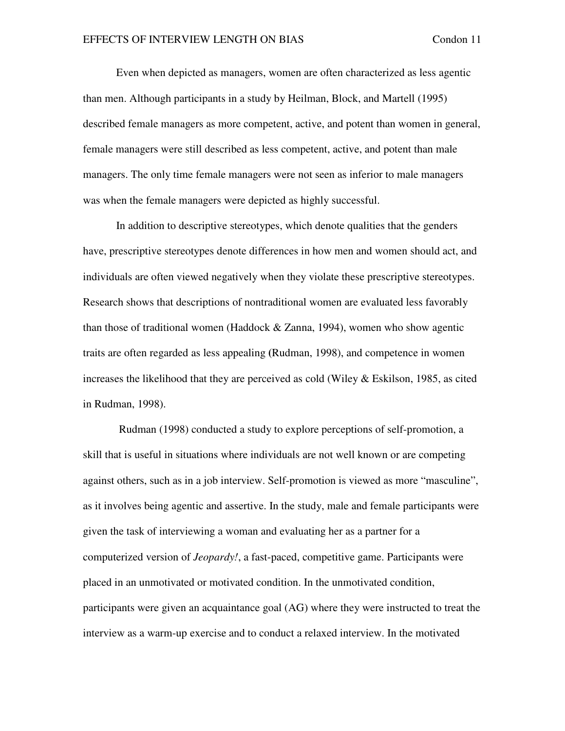Even when depicted as managers, women are often characterized as less agentic than men. Although participants in a study by Heilman, Block, and Martell (1995) described female managers as more competent, active, and potent than women in general, female managers were still described as less competent, active, and potent than male managers. The only time female managers were not seen as inferior to male managers was when the female managers were depicted as highly successful.

In addition to descriptive stereotypes, which denote qualities that the genders have, prescriptive stereotypes denote differences in how men and women should act, and individuals are often viewed negatively when they violate these prescriptive stereotypes. Research shows that descriptions of nontraditional women are evaluated less favorably than those of traditional women (Haddock & Zanna, 1994), women who show agentic traits are often regarded as less appealing **(**Rudman, 1998), and competence in women increases the likelihood that they are perceived as cold (Wiley & Eskilson, 1985, as cited in Rudman, 1998).

 Rudman (1998) conducted a study to explore perceptions of self-promotion, a skill that is useful in situations where individuals are not well known or are competing against others, such as in a job interview. Self-promotion is viewed as more "masculine", as it involves being agentic and assertive. In the study, male and female participants were given the task of interviewing a woman and evaluating her as a partner for a computerized version of *Jeopardy!*, a fast-paced, competitive game. Participants were placed in an unmotivated or motivated condition. In the unmotivated condition, participants were given an acquaintance goal (AG) where they were instructed to treat the interview as a warm-up exercise and to conduct a relaxed interview. In the motivated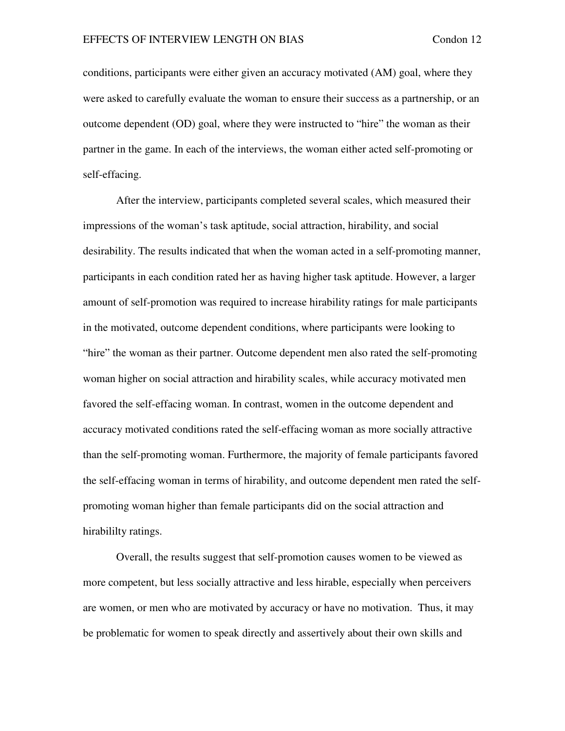conditions, participants were either given an accuracy motivated (AM) goal, where they were asked to carefully evaluate the woman to ensure their success as a partnership, or an outcome dependent (OD) goal, where they were instructed to "hire" the woman as their partner in the game. In each of the interviews, the woman either acted self-promoting or self-effacing.

After the interview, participants completed several scales, which measured their impressions of the woman's task aptitude, social attraction, hirability, and social desirability. The results indicated that when the woman acted in a self-promoting manner, participants in each condition rated her as having higher task aptitude. However, a larger amount of self-promotion was required to increase hirability ratings for male participants in the motivated, outcome dependent conditions, where participants were looking to "hire" the woman as their partner. Outcome dependent men also rated the self-promoting woman higher on social attraction and hirability scales, while accuracy motivated men favored the self-effacing woman. In contrast, women in the outcome dependent and accuracy motivated conditions rated the self-effacing woman as more socially attractive than the self-promoting woman. Furthermore, the majority of female participants favored the self-effacing woman in terms of hirability, and outcome dependent men rated the selfpromoting woman higher than female participants did on the social attraction and hirabililty ratings.

Overall, the results suggest that self-promotion causes women to be viewed as more competent, but less socially attractive and less hirable, especially when perceivers are women, or men who are motivated by accuracy or have no motivation. Thus, it may be problematic for women to speak directly and assertively about their own skills and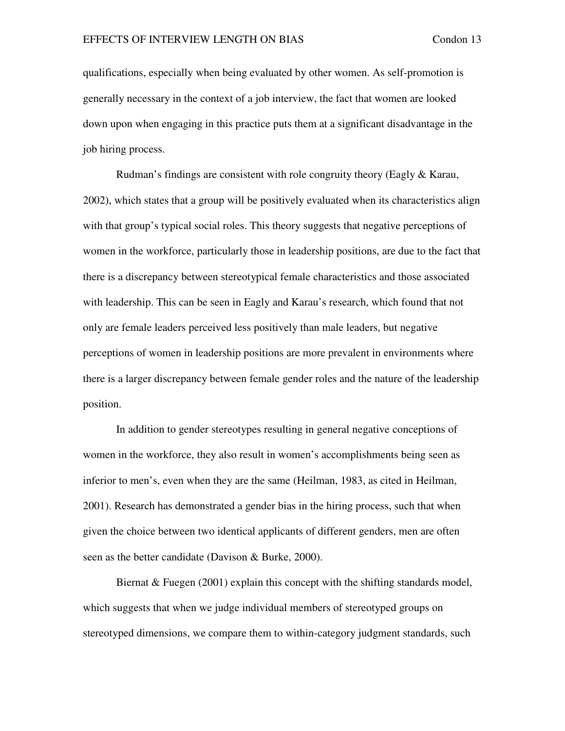qualifications, especially when being evaluated by other women. As self-promotion is generally necessary in the context of a job interview, the fact that women are looked down upon when engaging in this practice puts them at a significant disadvantage in the job hiring process.

Rudman's findings are consistent with role congruity theory (Eagly & Karau, 2002), which states that a group will be positively evaluated when its characteristics align with that group's typical social roles. This theory suggests that negative perceptions of women in the workforce, particularly those in leadership positions, are due to the fact that there is a discrepancy between stereotypical female characteristics and those associated with leadership. This can be seen in Eagly and Karau's research, which found that not only are female leaders perceived less positively than male leaders, but negative perceptions of women in leadership positions are more prevalent in environments where there is a larger discrepancy between female gender roles and the nature of the leadership position.

In addition to gender stereotypes resulting in general negative conceptions of women in the workforce, they also result in women's accomplishments being seen as inferior to men's, even when they are the same (Heilman, 1983, as cited in Heilman, 2001). Research has demonstrated a gender bias in the hiring process, such that when given the choice between two identical applicants of different genders, men are often seen as the better candidate (Davison & Burke, 2000).

Biernat  $&$  Fuegen (2001) explain this concept with the shifting standards model, which suggests that when we judge individual members of stereotyped groups on stereotyped dimensions, we compare them to within-category judgment standards, such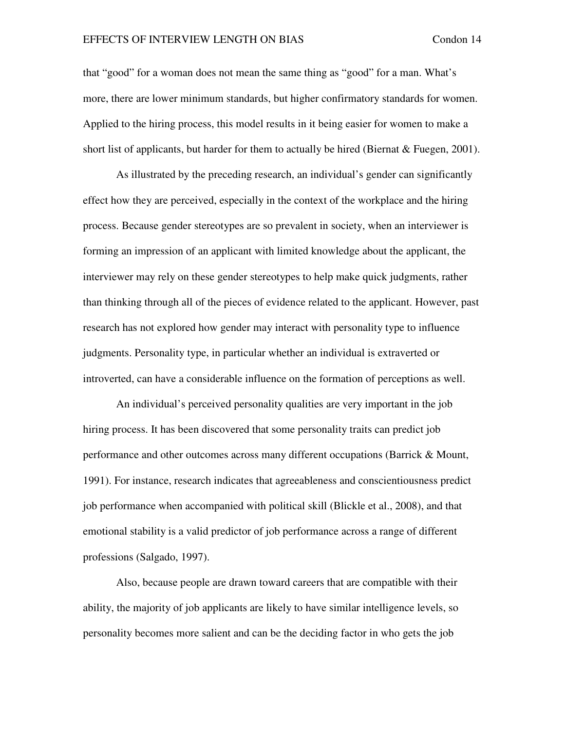that "good" for a woman does not mean the same thing as "good" for a man. What's more, there are lower minimum standards, but higher confirmatory standards for women. Applied to the hiring process, this model results in it being easier for women to make a short list of applicants, but harder for them to actually be hired (Biernat  $&$  Fuegen, 2001).

As illustrated by the preceding research, an individual's gender can significantly effect how they are perceived, especially in the context of the workplace and the hiring process. Because gender stereotypes are so prevalent in society, when an interviewer is forming an impression of an applicant with limited knowledge about the applicant, the interviewer may rely on these gender stereotypes to help make quick judgments, rather than thinking through all of the pieces of evidence related to the applicant. However, past research has not explored how gender may interact with personality type to influence judgments. Personality type, in particular whether an individual is extraverted or introverted, can have a considerable influence on the formation of perceptions as well.

An individual's perceived personality qualities are very important in the job hiring process. It has been discovered that some personality traits can predict job performance and other outcomes across many different occupations (Barrick & Mount, 1991). For instance, research indicates that agreeableness and conscientiousness predict job performance when accompanied with political skill (Blickle et al., 2008), and that emotional stability is a valid predictor of job performance across a range of different professions (Salgado, 1997).

Also, because people are drawn toward careers that are compatible with their ability, the majority of job applicants are likely to have similar intelligence levels, so personality becomes more salient and can be the deciding factor in who gets the job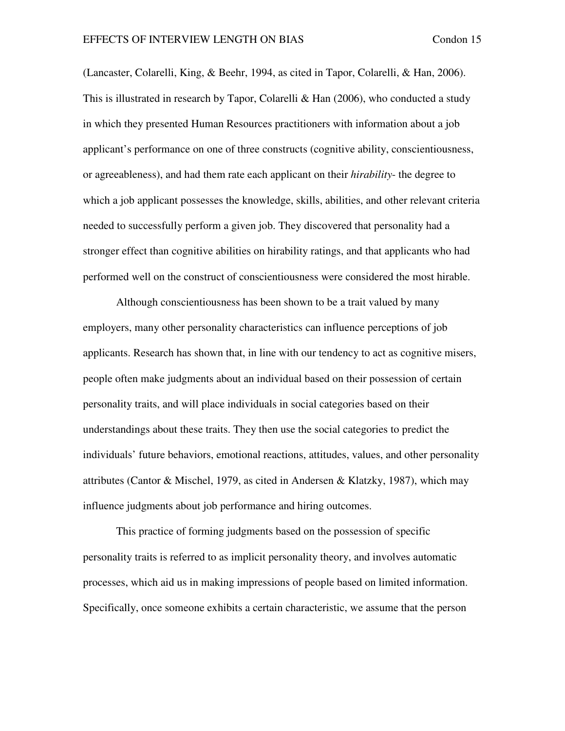(Lancaster, Colarelli, King, & Beehr, 1994, as cited in Tapor, Colarelli, & Han, 2006). This is illustrated in research by Tapor, Colarelli & Han  $(2006)$ , who conducted a study in which they presented Human Resources practitioners with information about a job applicant's performance on one of three constructs (cognitive ability, conscientiousness, or agreeableness), and had them rate each applicant on their *hirability*- the degree to which a job applicant possesses the knowledge, skills, abilities, and other relevant criteria needed to successfully perform a given job. They discovered that personality had a stronger effect than cognitive abilities on hirability ratings, and that applicants who had performed well on the construct of conscientiousness were considered the most hirable.

 Although conscientiousness has been shown to be a trait valued by many employers, many other personality characteristics can influence perceptions of job applicants. Research has shown that, in line with our tendency to act as cognitive misers, people often make judgments about an individual based on their possession of certain personality traits, and will place individuals in social categories based on their understandings about these traits. They then use the social categories to predict the individuals' future behaviors, emotional reactions, attitudes, values, and other personality attributes (Cantor & Mischel, 1979, as cited in Andersen & Klatzky, 1987), which may influence judgments about job performance and hiring outcomes.

This practice of forming judgments based on the possession of specific personality traits is referred to as implicit personality theory, and involves automatic processes, which aid us in making impressions of people based on limited information. Specifically, once someone exhibits a certain characteristic, we assume that the person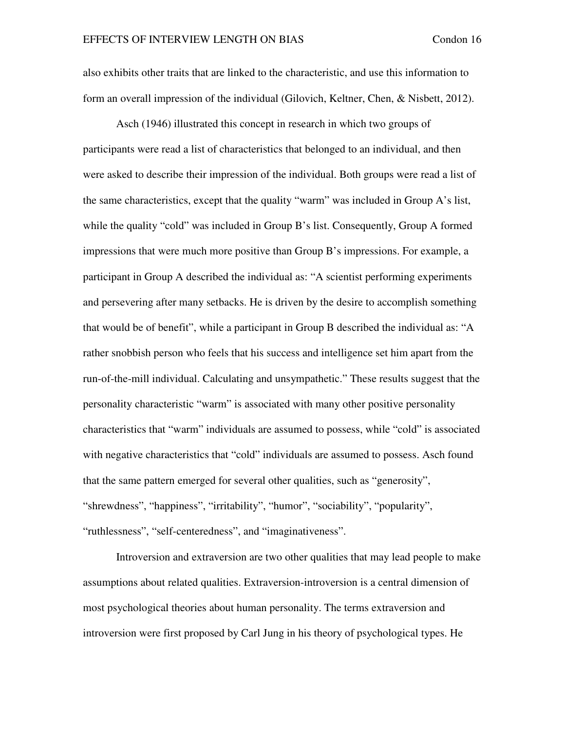also exhibits other traits that are linked to the characteristic, and use this information to form an overall impression of the individual (Gilovich, Keltner, Chen, & Nisbett, 2012).

 Asch (1946) illustrated this concept in research in which two groups of participants were read a list of characteristics that belonged to an individual, and then were asked to describe their impression of the individual. Both groups were read a list of the same characteristics, except that the quality "warm" was included in Group A's list, while the quality "cold" was included in Group B's list. Consequently, Group A formed impressions that were much more positive than Group B's impressions. For example, a participant in Group A described the individual as: "A scientist performing experiments and persevering after many setbacks. He is driven by the desire to accomplish something that would be of benefit", while a participant in Group B described the individual as: "A rather snobbish person who feels that his success and intelligence set him apart from the run-of-the-mill individual. Calculating and unsympathetic." These results suggest that the personality characteristic "warm" is associated with many other positive personality characteristics that "warm" individuals are assumed to possess, while "cold" is associated with negative characteristics that "cold" individuals are assumed to possess. Asch found that the same pattern emerged for several other qualities, such as "generosity", "shrewdness", "happiness", "irritability", "humor", "sociability", "popularity", "ruthlessness", "self-centeredness", and "imaginativeness".

Introversion and extraversion are two other qualities that may lead people to make assumptions about related qualities. Extraversion-introversion is a central dimension of most psychological theories about human personality. The terms extraversion and introversion were first proposed by Carl Jung in his theory of psychological types. He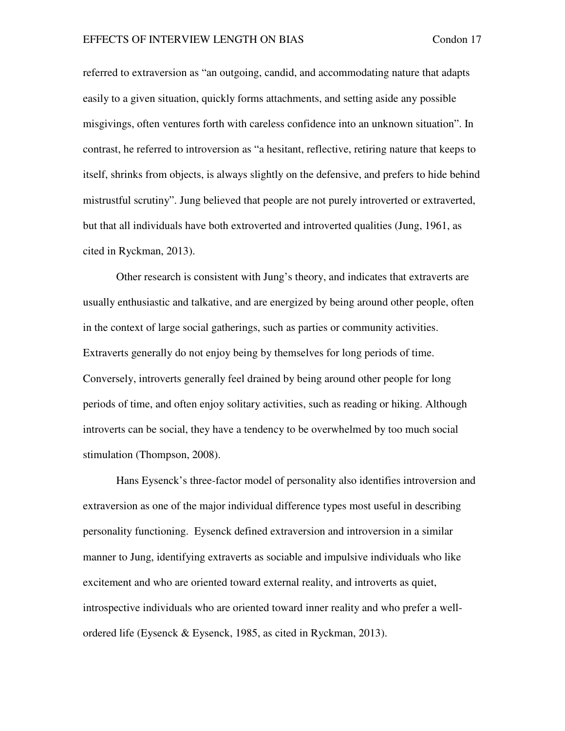referred to extraversion as "an outgoing, candid, and accommodating nature that adapts easily to a given situation, quickly forms attachments, and setting aside any possible misgivings, often ventures forth with careless confidence into an unknown situation". In contrast, he referred to introversion as "a hesitant, reflective, retiring nature that keeps to itself, shrinks from objects, is always slightly on the defensive, and prefers to hide behind mistrustful scrutiny". Jung believed that people are not purely introverted or extraverted, but that all individuals have both extroverted and introverted qualities (Jung, 1961, as cited in Ryckman, 2013).

Other research is consistent with Jung's theory, and indicates that extraverts are usually enthusiastic and talkative, and are energized by being around other people, often in the context of large social gatherings, such as parties or community activities. Extraverts generally do not enjoy being by themselves for long periods of time. Conversely, introverts generally feel drained by being around other people for long periods of time, and often enjoy solitary activities, such as reading or hiking. Although introverts can be social, they have a tendency to be overwhelmed by too much social stimulation (Thompson, 2008).

Hans Eysenck's three-factor model of personality also identifies introversion and extraversion as one of the major individual difference types most useful in describing personality functioning. Eysenck defined extraversion and introversion in a similar manner to Jung, identifying extraverts as sociable and impulsive individuals who like excitement and who are oriented toward external reality, and introverts as quiet, introspective individuals who are oriented toward inner reality and who prefer a wellordered life (Eysenck & Eysenck, 1985, as cited in Ryckman, 2013).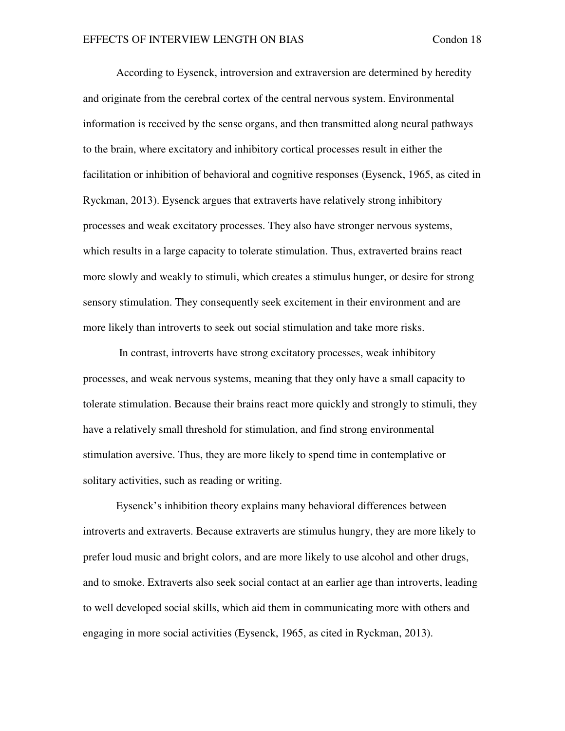According to Eysenck, introversion and extraversion are determined by heredity and originate from the cerebral cortex of the central nervous system. Environmental information is received by the sense organs, and then transmitted along neural pathways to the brain, where excitatory and inhibitory cortical processes result in either the facilitation or inhibition of behavioral and cognitive responses (Eysenck, 1965, as cited in Ryckman, 2013). Eysenck argues that extraverts have relatively strong inhibitory processes and weak excitatory processes. They also have stronger nervous systems, which results in a large capacity to tolerate stimulation. Thus, extraverted brains react more slowly and weakly to stimuli, which creates a stimulus hunger, or desire for strong sensory stimulation. They consequently seek excitement in their environment and are more likely than introverts to seek out social stimulation and take more risks.

 In contrast, introverts have strong excitatory processes, weak inhibitory processes, and weak nervous systems, meaning that they only have a small capacity to tolerate stimulation. Because their brains react more quickly and strongly to stimuli, they have a relatively small threshold for stimulation, and find strong environmental stimulation aversive. Thus, they are more likely to spend time in contemplative or solitary activities, such as reading or writing.

Eysenck's inhibition theory explains many behavioral differences between introverts and extraverts. Because extraverts are stimulus hungry, they are more likely to prefer loud music and bright colors, and are more likely to use alcohol and other drugs, and to smoke. Extraverts also seek social contact at an earlier age than introverts, leading to well developed social skills, which aid them in communicating more with others and engaging in more social activities (Eysenck, 1965, as cited in Ryckman, 2013).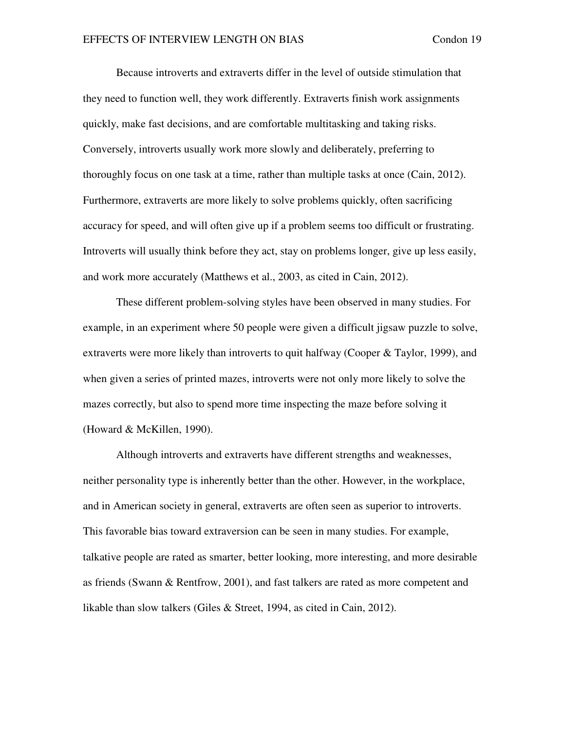Because introverts and extraverts differ in the level of outside stimulation that they need to function well, they work differently. Extraverts finish work assignments quickly, make fast decisions, and are comfortable multitasking and taking risks. Conversely, introverts usually work more slowly and deliberately, preferring to thoroughly focus on one task at a time, rather than multiple tasks at once (Cain, 2012). Furthermore, extraverts are more likely to solve problems quickly, often sacrificing accuracy for speed, and will often give up if a problem seems too difficult or frustrating. Introverts will usually think before they act, stay on problems longer, give up less easily, and work more accurately (Matthews et al., 2003, as cited in Cain, 2012).

These different problem-solving styles have been observed in many studies. For example, in an experiment where 50 people were given a difficult jigsaw puzzle to solve, extraverts were more likely than introverts to quit halfway (Cooper & Taylor, 1999), and when given a series of printed mazes, introverts were not only more likely to solve the mazes correctly, but also to spend more time inspecting the maze before solving it (Howard & McKillen, 1990).

Although introverts and extraverts have different strengths and weaknesses, neither personality type is inherently better than the other. However, in the workplace, and in American society in general, extraverts are often seen as superior to introverts. This favorable bias toward extraversion can be seen in many studies. For example, talkative people are rated as smarter, better looking, more interesting, and more desirable as friends (Swann & Rentfrow, 2001), and fast talkers are rated as more competent and likable than slow talkers (Giles & Street, 1994, as cited in Cain, 2012).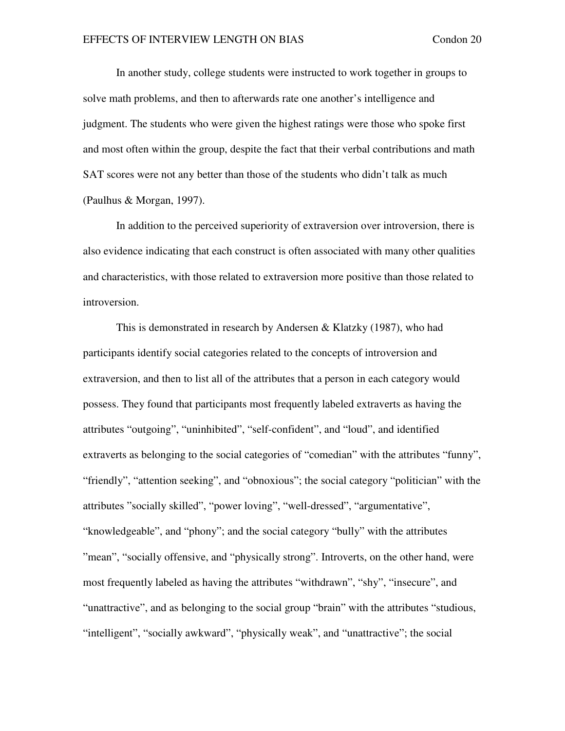In another study, college students were instructed to work together in groups to solve math problems, and then to afterwards rate one another's intelligence and judgment. The students who were given the highest ratings were those who spoke first and most often within the group, despite the fact that their verbal contributions and math SAT scores were not any better than those of the students who didn't talk as much (Paulhus & Morgan, 1997).

In addition to the perceived superiority of extraversion over introversion, there is also evidence indicating that each construct is often associated with many other qualities and characteristics, with those related to extraversion more positive than those related to introversion.

This is demonstrated in research by Andersen & Klatzky (1987), who had participants identify social categories related to the concepts of introversion and extraversion, and then to list all of the attributes that a person in each category would possess. They found that participants most frequently labeled extraverts as having the attributes "outgoing", "uninhibited", "self-confident", and "loud", and identified extraverts as belonging to the social categories of "comedian" with the attributes "funny", "friendly", "attention seeking", and "obnoxious"; the social category "politician" with the attributes "socially skilled", "power loving", "well-dressed", "argumentative", "knowledgeable", and "phony"; and the social category "bully" with the attributes "mean", "socially offensive, and "physically strong". Introverts, on the other hand, were most frequently labeled as having the attributes "withdrawn", "shy", "insecure", and "unattractive", and as belonging to the social group "brain" with the attributes "studious, "intelligent", "socially awkward", "physically weak", and "unattractive"; the social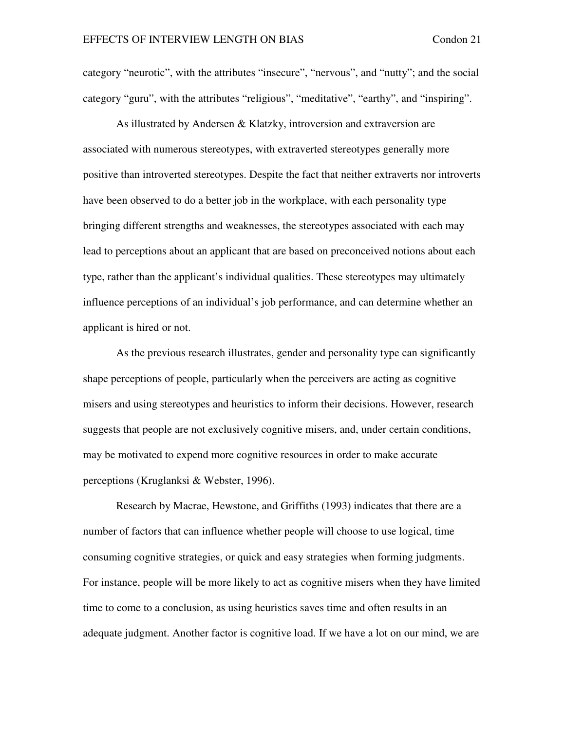category "neurotic", with the attributes "insecure", "nervous", and "nutty"; and the social category "guru", with the attributes "religious", "meditative", "earthy", and "inspiring".

As illustrated by Andersen & Klatzky, introversion and extraversion are associated with numerous stereotypes, with extraverted stereotypes generally more positive than introverted stereotypes. Despite the fact that neither extraverts nor introverts have been observed to do a better job in the workplace, with each personality type bringing different strengths and weaknesses, the stereotypes associated with each may lead to perceptions about an applicant that are based on preconceived notions about each type, rather than the applicant's individual qualities. These stereotypes may ultimately influence perceptions of an individual's job performance, and can determine whether an applicant is hired or not.

As the previous research illustrates, gender and personality type can significantly shape perceptions of people, particularly when the perceivers are acting as cognitive misers and using stereotypes and heuristics to inform their decisions. However, research suggests that people are not exclusively cognitive misers, and, under certain conditions, may be motivated to expend more cognitive resources in order to make accurate perceptions (Kruglanksi & Webster, 1996).

Research by Macrae, Hewstone, and Griffiths (1993) indicates that there are a number of factors that can influence whether people will choose to use logical, time consuming cognitive strategies, or quick and easy strategies when forming judgments. For instance, people will be more likely to act as cognitive misers when they have limited time to come to a conclusion, as using heuristics saves time and often results in an adequate judgment. Another factor is cognitive load. If we have a lot on our mind, we are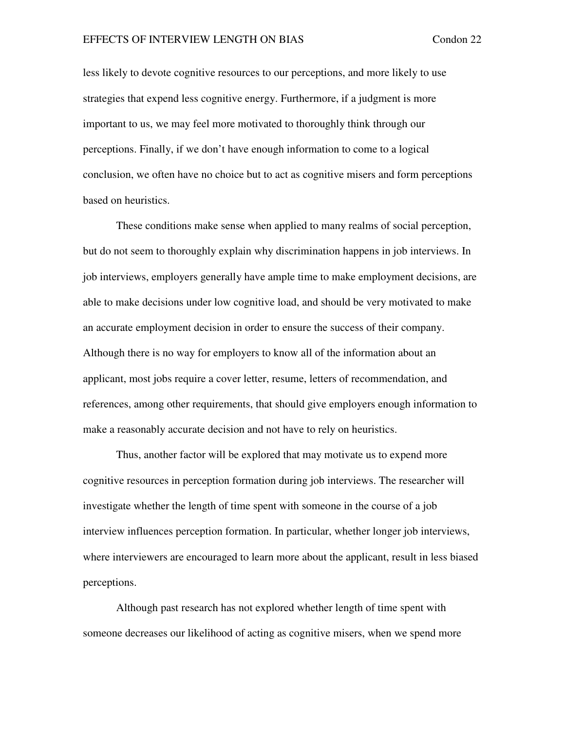less likely to devote cognitive resources to our perceptions, and more likely to use strategies that expend less cognitive energy. Furthermore, if a judgment is more important to us, we may feel more motivated to thoroughly think through our perceptions. Finally, if we don't have enough information to come to a logical conclusion, we often have no choice but to act as cognitive misers and form perceptions based on heuristics.

These conditions make sense when applied to many realms of social perception, but do not seem to thoroughly explain why discrimination happens in job interviews. In job interviews, employers generally have ample time to make employment decisions, are able to make decisions under low cognitive load, and should be very motivated to make an accurate employment decision in order to ensure the success of their company. Although there is no way for employers to know all of the information about an applicant, most jobs require a cover letter, resume, letters of recommendation, and references, among other requirements, that should give employers enough information to make a reasonably accurate decision and not have to rely on heuristics.

Thus, another factor will be explored that may motivate us to expend more cognitive resources in perception formation during job interviews. The researcher will investigate whether the length of time spent with someone in the course of a job interview influences perception formation. In particular, whether longer job interviews, where interviewers are encouraged to learn more about the applicant, result in less biased perceptions.

Although past research has not explored whether length of time spent with someone decreases our likelihood of acting as cognitive misers, when we spend more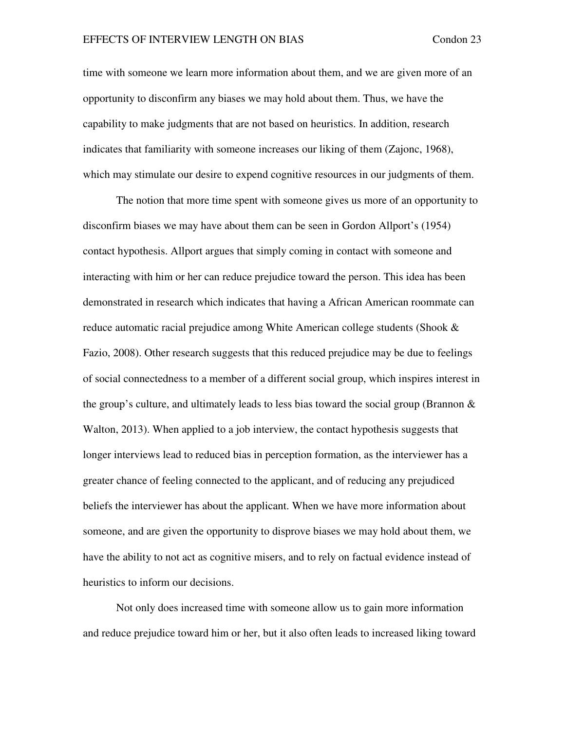time with someone we learn more information about them, and we are given more of an opportunity to disconfirm any biases we may hold about them. Thus, we have the capability to make judgments that are not based on heuristics. In addition, research indicates that familiarity with someone increases our liking of them (Zajonc, 1968), which may stimulate our desire to expend cognitive resources in our judgments of them.

The notion that more time spent with someone gives us more of an opportunity to disconfirm biases we may have about them can be seen in Gordon Allport's (1954) contact hypothesis. Allport argues that simply coming in contact with someone and interacting with him or her can reduce prejudice toward the person. This idea has been demonstrated in research which indicates that having a African American roommate can reduce automatic racial prejudice among White American college students (Shook & Fazio, 2008). Other research suggests that this reduced prejudice may be due to feelings of social connectedness to a member of a different social group, which inspires interest in the group's culture, and ultimately leads to less bias toward the social group (Brannon  $\&$ Walton, 2013). When applied to a job interview, the contact hypothesis suggests that longer interviews lead to reduced bias in perception formation, as the interviewer has a greater chance of feeling connected to the applicant, and of reducing any prejudiced beliefs the interviewer has about the applicant. When we have more information about someone, and are given the opportunity to disprove biases we may hold about them, we have the ability to not act as cognitive misers, and to rely on factual evidence instead of heuristics to inform our decisions.

Not only does increased time with someone allow us to gain more information and reduce prejudice toward him or her, but it also often leads to increased liking toward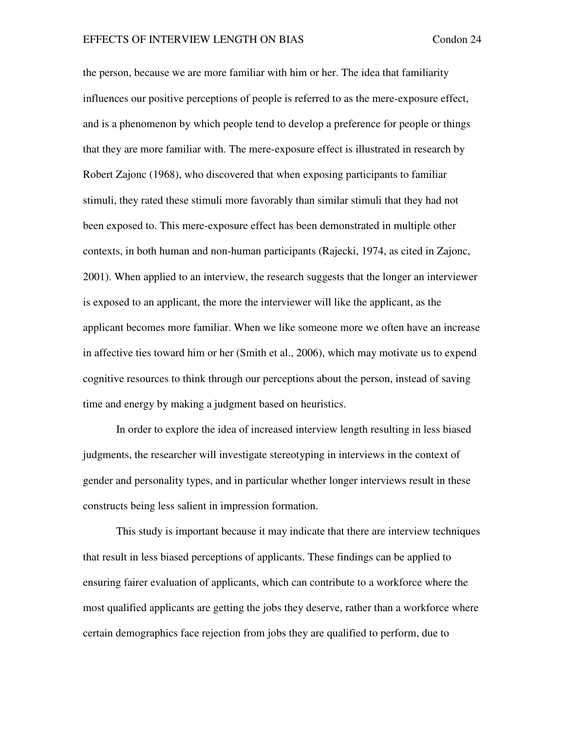the person, because we are more familiar with him or her. The idea that familiarity influences our positive perceptions of people is referred to as the mere-exposure effect, and is a phenomenon by which people tend to develop a preference for people or things that they are more familiar with. The mere-exposure effect is illustrated in research by Robert Zajonc (1968), who discovered that when exposing participants to familiar stimuli, they rated these stimuli more favorably than similar stimuli that they had not been exposed to. This mere-exposure effect has been demonstrated in multiple other contexts, in both human and non-human participants (Rajecki, 1974, as cited in Zajonc, 2001). When applied to an interview, the research suggests that the longer an interviewer is exposed to an applicant, the more the interviewer will like the applicant, as the applicant becomes more familiar. When we like someone more we often have an increase in affective ties toward him or her (Smith et al., 2006), which may motivate us to expend cognitive resources to think through our perceptions about the person, instead of saving time and energy by making a judgment based on heuristics.

In order to explore the idea of increased interview length resulting in less biased judgments, the researcher will investigate stereotyping in interviews in the context of gender and personality types, and in particular whether longer interviews result in these constructs being less salient in impression formation.

This study is important because it may indicate that there are interview techniques that result in less biased perceptions of applicants. These findings can be applied to ensuring fairer evaluation of applicants, which can contribute to a workforce where the most qualified applicants are getting the jobs they deserve, rather than a workforce where certain demographics face rejection from jobs they are qualified to perform, due to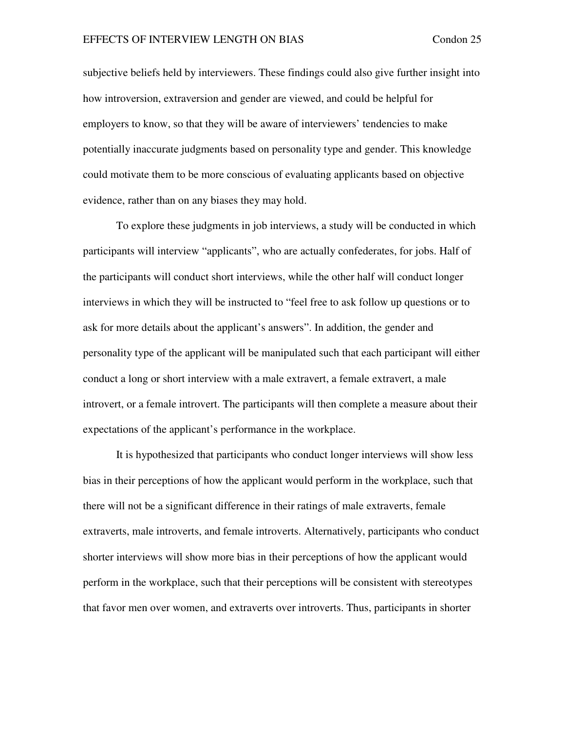subjective beliefs held by interviewers. These findings could also give further insight into how introversion, extraversion and gender are viewed, and could be helpful for employers to know, so that they will be aware of interviewers' tendencies to make potentially inaccurate judgments based on personality type and gender. This knowledge could motivate them to be more conscious of evaluating applicants based on objective evidence, rather than on any biases they may hold.

To explore these judgments in job interviews, a study will be conducted in which participants will interview "applicants", who are actually confederates, for jobs. Half of the participants will conduct short interviews, while the other half will conduct longer interviews in which they will be instructed to "feel free to ask follow up questions or to ask for more details about the applicant's answers". In addition, the gender and personality type of the applicant will be manipulated such that each participant will either conduct a long or short interview with a male extravert, a female extravert, a male introvert, or a female introvert. The participants will then complete a measure about their expectations of the applicant's performance in the workplace.

It is hypothesized that participants who conduct longer interviews will show less bias in their perceptions of how the applicant would perform in the workplace, such that there will not be a significant difference in their ratings of male extraverts, female extraverts, male introverts, and female introverts. Alternatively, participants who conduct shorter interviews will show more bias in their perceptions of how the applicant would perform in the workplace, such that their perceptions will be consistent with stereotypes that favor men over women, and extraverts over introverts. Thus, participants in shorter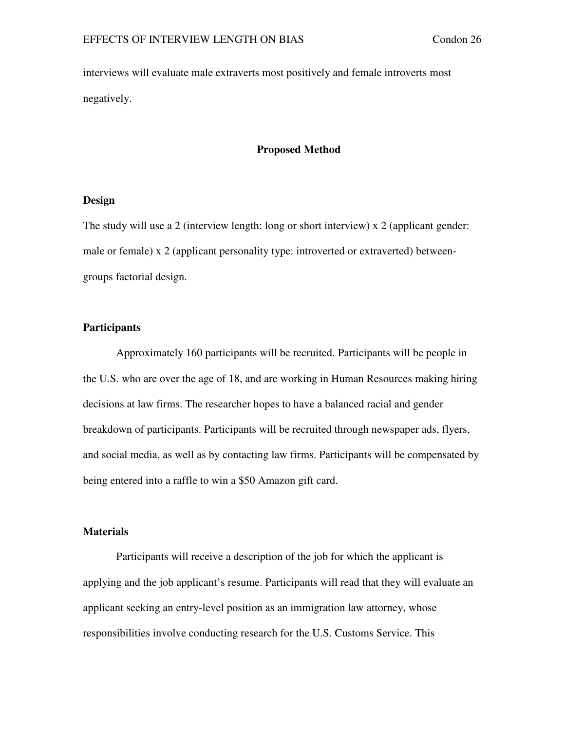interviews will evaluate male extraverts most positively and female introverts most negatively.

#### **Proposed Method**

#### **Design**

The study will use a 2 (interview length: long or short interview) x 2 (applicant gender: male or female) x 2 (applicant personality type: introverted or extraverted) betweengroups factorial design.

#### **Participants**

Approximately 160 participants will be recruited. Participants will be people in the U.S. who are over the age of 18, and are working in Human Resources making hiring decisions at law firms. The researcher hopes to have a balanced racial and gender breakdown of participants. Participants will be recruited through newspaper ads, flyers, and social media, as well as by contacting law firms. Participants will be compensated by being entered into a raffle to win a \$50 Amazon gift card.

#### **Materials**

Participants will receive a description of the job for which the applicant is applying and the job applicant's resume. Participants will read that they will evaluate an applicant seeking an entry-level position as an immigration law attorney, whose responsibilities involve conducting research for the U.S. Customs Service. This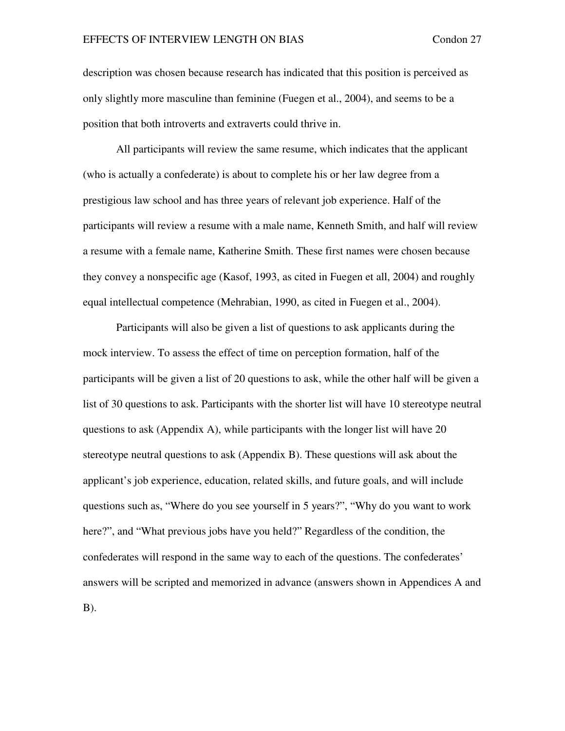description was chosen because research has indicated that this position is perceived as only slightly more masculine than feminine (Fuegen et al., 2004), and seems to be a position that both introverts and extraverts could thrive in.

 All participants will review the same resume, which indicates that the applicant (who is actually a confederate) is about to complete his or her law degree from a prestigious law school and has three years of relevant job experience. Half of the participants will review a resume with a male name, Kenneth Smith, and half will review a resume with a female name, Katherine Smith. These first names were chosen because they convey a nonspecific age (Kasof, 1993, as cited in Fuegen et all, 2004) and roughly equal intellectual competence (Mehrabian, 1990, as cited in Fuegen et al., 2004).

 Participants will also be given a list of questions to ask applicants during the mock interview. To assess the effect of time on perception formation, half of the participants will be given a list of 20 questions to ask, while the other half will be given a list of 30 questions to ask. Participants with the shorter list will have 10 stereotype neutral questions to ask (Appendix A), while participants with the longer list will have 20 stereotype neutral questions to ask (Appendix B). These questions will ask about the applicant's job experience, education, related skills, and future goals, and will include questions such as, "Where do you see yourself in 5 years?", "Why do you want to work here?", and "What previous jobs have you held?" Regardless of the condition, the confederates will respond in the same way to each of the questions. The confederates' answers will be scripted and memorized in advance (answers shown in Appendices A and B).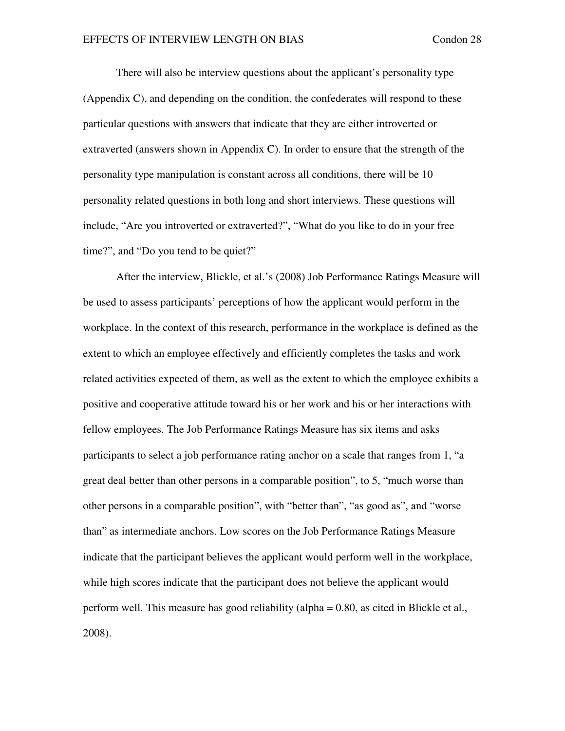There will also be interview questions about the applicant's personality type (Appendix C), and depending on the condition, the confederates will respond to these particular questions with answers that indicate that they are either introverted or extraverted (answers shown in Appendix C). In order to ensure that the strength of the personality type manipulation is constant across all conditions, there will be 10 personality related questions in both long and short interviews. These questions will include, "Are you introverted or extraverted?", "What do you like to do in your free time?", and "Do you tend to be quiet?"

After the interview, Blickle, et al.'s (2008) Job Performance Ratings Measure will be used to assess participants' perceptions of how the applicant would perform in the workplace. In the context of this research, performance in the workplace is defined as the extent to which an employee effectively and efficiently completes the tasks and work related activities expected of them, as well as the extent to which the employee exhibits a positive and cooperative attitude toward his or her work and his or her interactions with fellow employees. The Job Performance Ratings Measure has six items and asks participants to select a job performance rating anchor on a scale that ranges from 1, "a great deal better than other persons in a comparable position", to 5, "much worse than other persons in a comparable position", with "better than", "as good as", and "worse than" as intermediate anchors. Low scores on the Job Performance Ratings Measure indicate that the participant believes the applicant would perform well in the workplace, while high scores indicate that the participant does not believe the applicant would perform well. This measure has good reliability (alpha = 0.80, as cited in Blickle et al., 2008).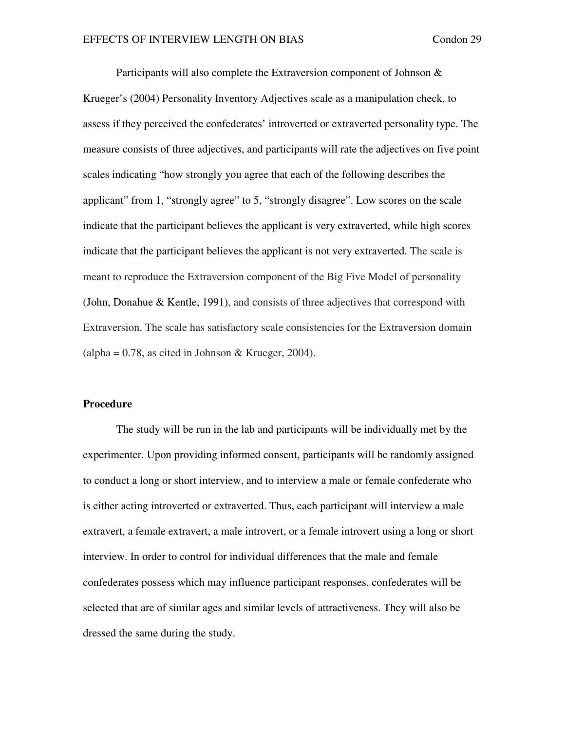Participants will also complete the Extraversion component of Johnson & Krueger's (2004) Personality Inventory Adjectives scale as a manipulation check, to assess if they perceived the confederates' introverted or extraverted personality type. The measure consists of three adjectives, and participants will rate the adjectives on five point scales indicating "how strongly you agree that each of the following describes the applicant" from 1, "strongly agree" to 5, "strongly disagree". Low scores on the scale indicate that the participant believes the applicant is very extraverted, while high scores indicate that the participant believes the applicant is not very extraverted. The scale is meant to reproduce the Extraversion component of the Big Five Model of personality (John, Donahue & Kentle, 1991), and consists of three adjectives that correspond with Extraversion. The scale has satisfactory scale consistencies for the Extraversion domain  $\alpha$  (alpha = 0.78, as cited in Johnson & Krueger, 2004).

#### **Procedure**

The study will be run in the lab and participants will be individually met by the experimenter. Upon providing informed consent, participants will be randomly assigned to conduct a long or short interview, and to interview a male or female confederate who is either acting introverted or extraverted. Thus, each participant will interview a male extravert, a female extravert, a male introvert, or a female introvert using a long or short interview. In order to control for individual differences that the male and female confederates possess which may influence participant responses, confederates will be selected that are of similar ages and similar levels of attractiveness. They will also be dressed the same during the study.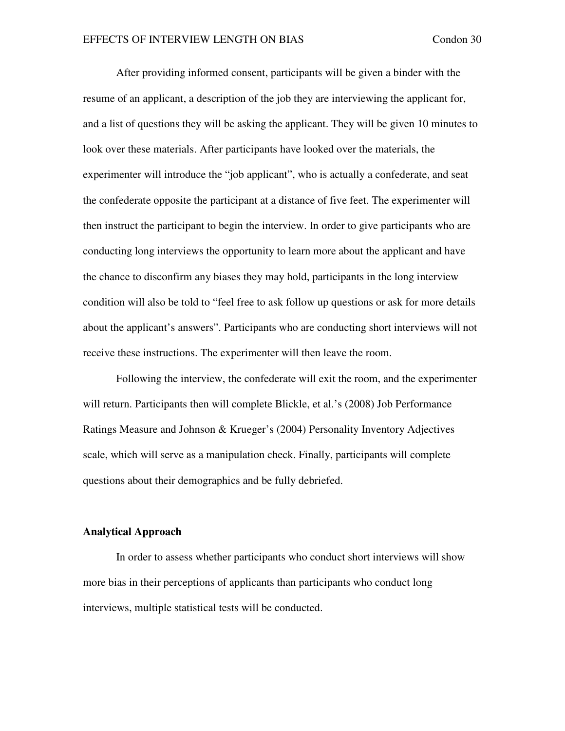After providing informed consent, participants will be given a binder with the resume of an applicant, a description of the job they are interviewing the applicant for, and a list of questions they will be asking the applicant. They will be given 10 minutes to look over these materials. After participants have looked over the materials, the experimenter will introduce the "job applicant", who is actually a confederate, and seat the confederate opposite the participant at a distance of five feet. The experimenter will then instruct the participant to begin the interview. In order to give participants who are conducting long interviews the opportunity to learn more about the applicant and have the chance to disconfirm any biases they may hold, participants in the long interview condition will also be told to "feel free to ask follow up questions or ask for more details about the applicant's answers". Participants who are conducting short interviews will not receive these instructions. The experimenter will then leave the room.

 Following the interview, the confederate will exit the room, and the experimenter will return. Participants then will complete Blickle, et al.'s (2008) Job Performance Ratings Measure and Johnson & Krueger's (2004) Personality Inventory Adjectives scale, which will serve as a manipulation check. Finally, participants will complete questions about their demographics and be fully debriefed.

#### **Analytical Approach**

In order to assess whether participants who conduct short interviews will show more bias in their perceptions of applicants than participants who conduct long interviews, multiple statistical tests will be conducted.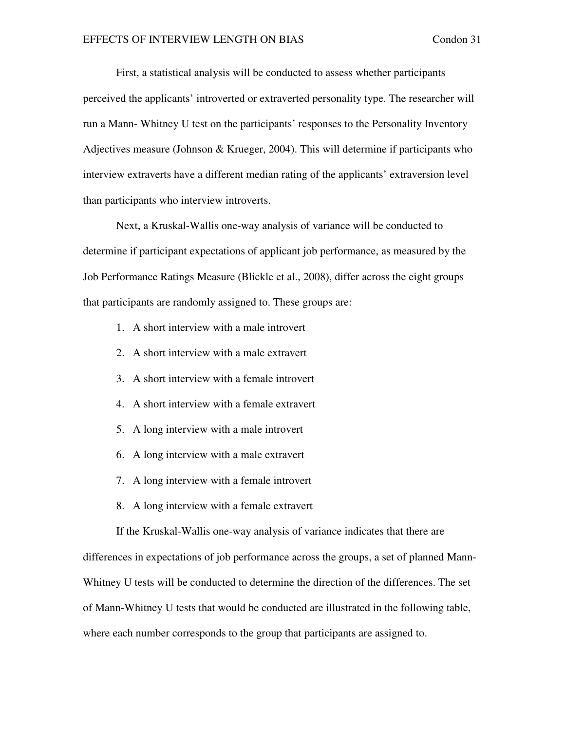First, a statistical analysis will be conducted to assess whether participants perceived the applicants' introverted or extraverted personality type. The researcher will run a Mann- Whitney U test on the participants' responses to the Personality Inventory Adjectives measure (Johnson & Krueger, 2004). This will determine if participants who interview extraverts have a different median rating of the applicants' extraversion level than participants who interview introverts.

Next, a Kruskal-Wallis one-way analysis of variance will be conducted to determine if participant expectations of applicant job performance, as measured by the Job Performance Ratings Measure (Blickle et al., 2008), differ across the eight groups that participants are randomly assigned to. These groups are:

- 1. A short interview with a male introvert
- 2. A short interview with a male extravert
- 3. A short interview with a female introvert
- 4. A short interview with a female extravert
- 5. A long interview with a male introvert
- 6. A long interview with a male extravert
- 7. A long interview with a female introvert
- 8. A long interview with a female extravert

If the Kruskal-Wallis one-way analysis of variance indicates that there are

differences in expectations of job performance across the groups, a set of planned Mann-Whitney U tests will be conducted to determine the direction of the differences. The set of Mann-Whitney U tests that would be conducted are illustrated in the following table, where each number corresponds to the group that participants are assigned to.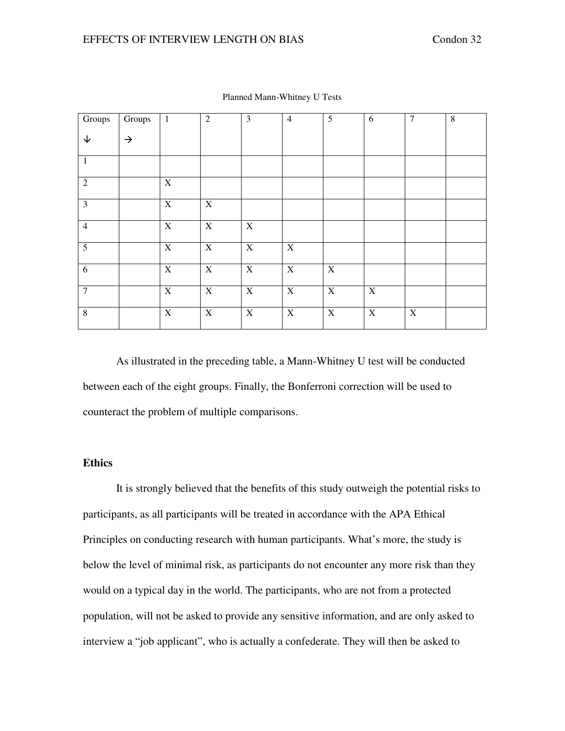| Groups         | Groups        | $\mathbf{1}$   | $\overline{2}$ | $\overline{\mathbf{3}}$ | $\overline{4}$ | $\overline{5}$            | $\sqrt{6}$  | $\overline{7}$            | $\overline{8}$ |
|----------------|---------------|----------------|----------------|-------------------------|----------------|---------------------------|-------------|---------------------------|----------------|
| $\downarrow$   | $\rightarrow$ |                |                |                         |                |                           |             |                           |                |
| $\mathbf{1}$   |               |                |                |                         |                |                           |             |                           |                |
| 2              |               | $\mathbf X$    |                |                         |                |                           |             |                           |                |
| $\overline{3}$ |               | $\overline{X}$ | $\overline{X}$ |                         |                |                           |             |                           |                |
| $\overline{4}$ |               | $\overline{X}$ | $\mathbf X$    | $\mathbf X$             |                |                           |             |                           |                |
| $\mathfrak{S}$ |               | $\mathbf X$    | $\mathbf X$    | $\mathbf X$             | $\mathbf X$    |                           |             |                           |                |
| 6              |               | $\mathbf X$    | $\mathbf X$    | $\mathbf X$             | $\mathbf X$    | $\boldsymbol{\mathrm{X}}$ |             |                           |                |
| $\overline{7}$ |               | $\overline{X}$ | $\mathbf X$    | $\mathbf X$             | $\overline{X}$ | $\mathbf X$               | $\mathbf X$ |                           |                |
| $\,8\,$        |               | $\mathbf X$    | $\mathbf X$    | $\mathbf X$             | $\mathbf X$    | $\boldsymbol{\mathrm{X}}$ | $\mathbf X$ | $\boldsymbol{\mathrm{X}}$ |                |

Planned Mann-Whitney U Tests

 As illustrated in the preceding table, a Mann-Whitney U test will be conducted between each of the eight groups. Finally, the Bonferroni correction will be used to counteract the problem of multiple comparisons.

## **Ethics**

It is strongly believed that the benefits of this study outweigh the potential risks to participants, as all participants will be treated in accordance with the APA Ethical Principles on conducting research with human participants. What's more, the study is below the level of minimal risk, as participants do not encounter any more risk than they would on a typical day in the world. The participants, who are not from a protected population, will not be asked to provide any sensitive information, and are only asked to interview a "job applicant", who is actually a confederate. They will then be asked to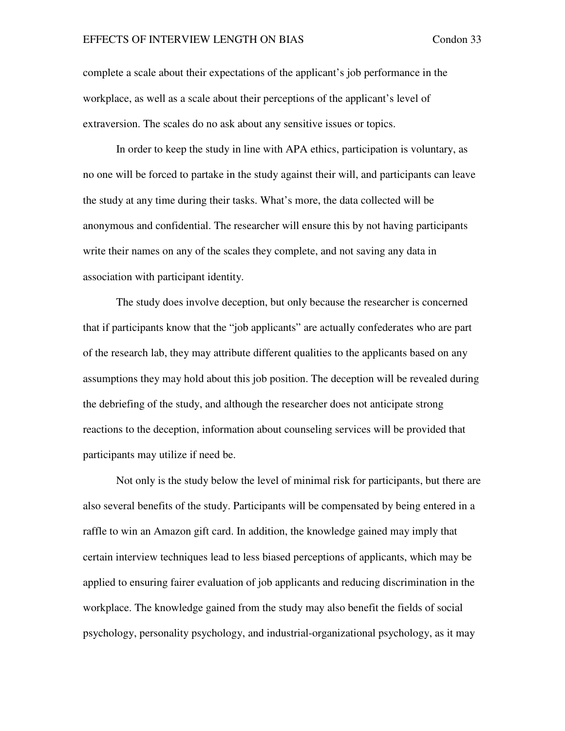complete a scale about their expectations of the applicant's job performance in the workplace, as well as a scale about their perceptions of the applicant's level of extraversion. The scales do no ask about any sensitive issues or topics.

In order to keep the study in line with APA ethics, participation is voluntary, as no one will be forced to partake in the study against their will, and participants can leave the study at any time during their tasks. What's more, the data collected will be anonymous and confidential. The researcher will ensure this by not having participants write their names on any of the scales they complete, and not saving any data in association with participant identity.

The study does involve deception, but only because the researcher is concerned that if participants know that the "job applicants" are actually confederates who are part of the research lab, they may attribute different qualities to the applicants based on any assumptions they may hold about this job position. The deception will be revealed during the debriefing of the study, and although the researcher does not anticipate strong reactions to the deception, information about counseling services will be provided that participants may utilize if need be.

 Not only is the study below the level of minimal risk for participants, but there are also several benefits of the study. Participants will be compensated by being entered in a raffle to win an Amazon gift card. In addition, the knowledge gained may imply that certain interview techniques lead to less biased perceptions of applicants, which may be applied to ensuring fairer evaluation of job applicants and reducing discrimination in the workplace. The knowledge gained from the study may also benefit the fields of social psychology, personality psychology, and industrial-organizational psychology, as it may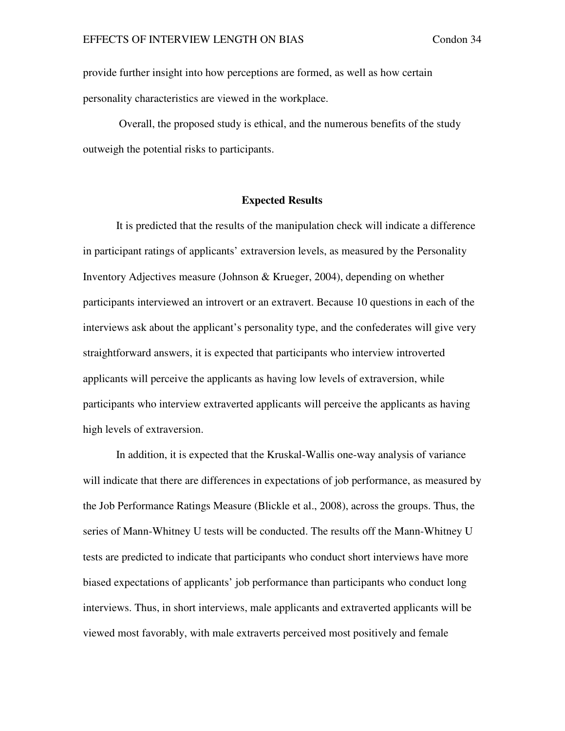provide further insight into how perceptions are formed, as well as how certain personality characteristics are viewed in the workplace.

 Overall, the proposed study is ethical, and the numerous benefits of the study outweigh the potential risks to participants.

#### **Expected Results**

 It is predicted that the results of the manipulation check will indicate a difference in participant ratings of applicants' extraversion levels, as measured by the Personality Inventory Adjectives measure (Johnson & Krueger, 2004), depending on whether participants interviewed an introvert or an extravert. Because 10 questions in each of the interviews ask about the applicant's personality type, and the confederates will give very straightforward answers, it is expected that participants who interview introverted applicants will perceive the applicants as having low levels of extraversion, while participants who interview extraverted applicants will perceive the applicants as having high levels of extraversion.

 In addition, it is expected that the Kruskal-Wallis one-way analysis of variance will indicate that there are differences in expectations of job performance, as measured by the Job Performance Ratings Measure (Blickle et al., 2008), across the groups. Thus, the series of Mann-Whitney U tests will be conducted. The results off the Mann-Whitney U tests are predicted to indicate that participants who conduct short interviews have more biased expectations of applicants' job performance than participants who conduct long interviews. Thus, in short interviews, male applicants and extraverted applicants will be viewed most favorably, with male extraverts perceived most positively and female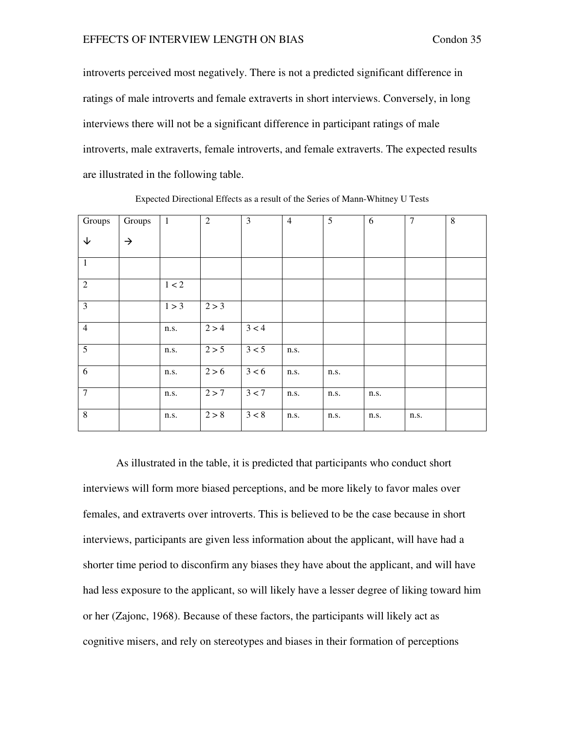introverts perceived most negatively. There is not a predicted significant difference in ratings of male introverts and female extraverts in short interviews. Conversely, in long interviews there will not be a significant difference in participant ratings of male introverts, male extraverts, female introverts, and female extraverts. The expected results are illustrated in the following table.

| Groups                  | Groups        | $\mathbf{1}$ | $\overline{2}$ | 3     | $\overline{4}$ | 5    | 6    | $\overline{7}$ | 8 |
|-------------------------|---------------|--------------|----------------|-------|----------------|------|------|----------------|---|
|                         |               |              |                |       |                |      |      |                |   |
| $\downarrow$            | $\rightarrow$ |              |                |       |                |      |      |                |   |
|                         |               |              |                |       |                |      |      |                |   |
| $\mathbf{1}$            |               |              |                |       |                |      |      |                |   |
|                         |               |              |                |       |                |      |      |                |   |
| $\overline{2}$          |               | $1 < 2$      |                |       |                |      |      |                |   |
|                         |               |              |                |       |                |      |      |                |   |
| $\overline{\mathbf{3}}$ |               | 1 > 3        | 2 > 3          |       |                |      |      |                |   |
|                         |               |              |                |       |                |      |      |                |   |
| $\overline{4}$          |               | n.s.         | 2 > 4          | 3 < 4 |                |      |      |                |   |
|                         |               |              |                |       |                |      |      |                |   |
| $\overline{5}$          |               | n.s.         | 2 > 5          | 3 < 5 | n.s.           |      |      |                |   |
|                         |               |              |                |       |                |      |      |                |   |
| $\overline{6}$          |               |              |                |       |                |      |      |                |   |
|                         |               | n.s.         | 2 > 6          | 3 < 6 | n.s.           | n.s. |      |                |   |
|                         |               |              |                |       |                |      |      |                |   |
| $\overline{7}$          |               | n.s.         | 2 > 7          | 3 < 7 | n.s.           | n.s. | n.s. |                |   |
|                         |               |              |                |       |                |      |      |                |   |
| $\overline{8}$          |               | n.s.         | 2 > 8          | 3 < 8 | n.s.           | n.s. | n.s. | n.s.           |   |
|                         |               |              |                |       |                |      |      |                |   |

Expected Directional Effects as a result of the Series of Mann-Whitney U Tests

As illustrated in the table, it is predicted that participants who conduct short interviews will form more biased perceptions, and be more likely to favor males over females, and extraverts over introverts. This is believed to be the case because in short interviews, participants are given less information about the applicant, will have had a shorter time period to disconfirm any biases they have about the applicant, and will have had less exposure to the applicant, so will likely have a lesser degree of liking toward him or her (Zajonc, 1968). Because of these factors, the participants will likely act as cognitive misers, and rely on stereotypes and biases in their formation of perceptions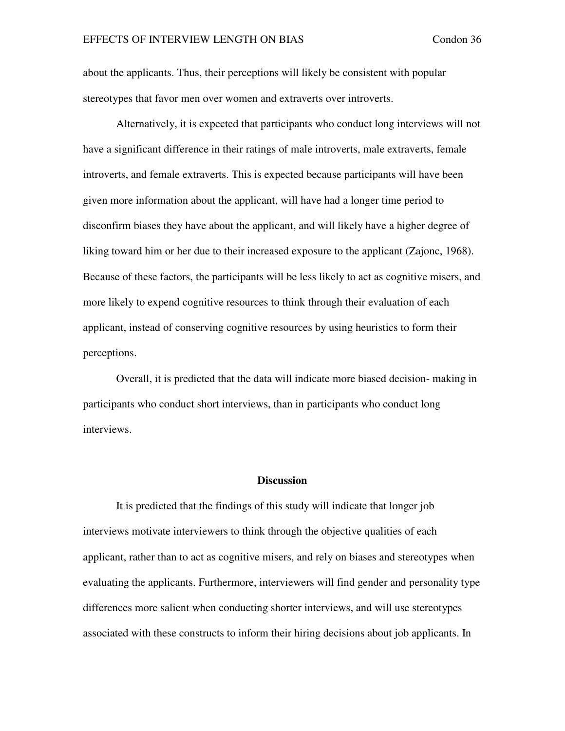about the applicants. Thus, their perceptions will likely be consistent with popular stereotypes that favor men over women and extraverts over introverts.

Alternatively, it is expected that participants who conduct long interviews will not have a significant difference in their ratings of male introverts, male extraverts, female introverts, and female extraverts. This is expected because participants will have been given more information about the applicant, will have had a longer time period to disconfirm biases they have about the applicant, and will likely have a higher degree of liking toward him or her due to their increased exposure to the applicant (Zajonc, 1968). Because of these factors, the participants will be less likely to act as cognitive misers, and more likely to expend cognitive resources to think through their evaluation of each applicant, instead of conserving cognitive resources by using heuristics to form their perceptions.

Overall, it is predicted that the data will indicate more biased decision- making in participants who conduct short interviews, than in participants who conduct long interviews.

#### **Discussion**

It is predicted that the findings of this study will indicate that longer job interviews motivate interviewers to think through the objective qualities of each applicant, rather than to act as cognitive misers, and rely on biases and stereotypes when evaluating the applicants. Furthermore, interviewers will find gender and personality type differences more salient when conducting shorter interviews, and will use stereotypes associated with these constructs to inform their hiring decisions about job applicants. In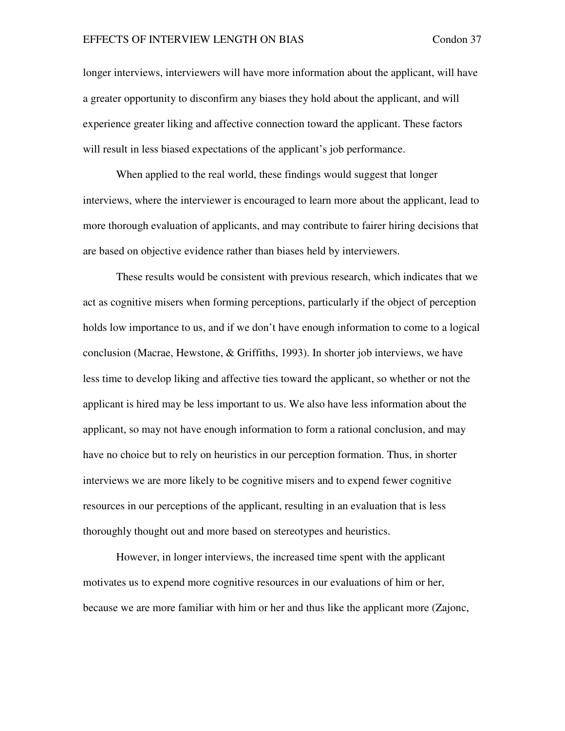longer interviews, interviewers will have more information about the applicant, will have a greater opportunity to disconfirm any biases they hold about the applicant, and will experience greater liking and affective connection toward the applicant. These factors will result in less biased expectations of the applicant's job performance.

When applied to the real world, these findings would suggest that longer interviews, where the interviewer is encouraged to learn more about the applicant, lead to more thorough evaluation of applicants, and may contribute to fairer hiring decisions that are based on objective evidence rather than biases held by interviewers.

These results would be consistent with previous research, which indicates that we act as cognitive misers when forming perceptions, particularly if the object of perception holds low importance to us, and if we don't have enough information to come to a logical conclusion (Macrae, Hewstone, & Griffiths, 1993). In shorter job interviews, we have less time to develop liking and affective ties toward the applicant, so whether or not the applicant is hired may be less important to us. We also have less information about the applicant, so may not have enough information to form a rational conclusion, and may have no choice but to rely on heuristics in our perception formation. Thus, in shorter interviews we are more likely to be cognitive misers and to expend fewer cognitive resources in our perceptions of the applicant, resulting in an evaluation that is less thoroughly thought out and more based on stereotypes and heuristics.

However, in longer interviews, the increased time spent with the applicant motivates us to expend more cognitive resources in our evaluations of him or her, because we are more familiar with him or her and thus like the applicant more (Zajonc,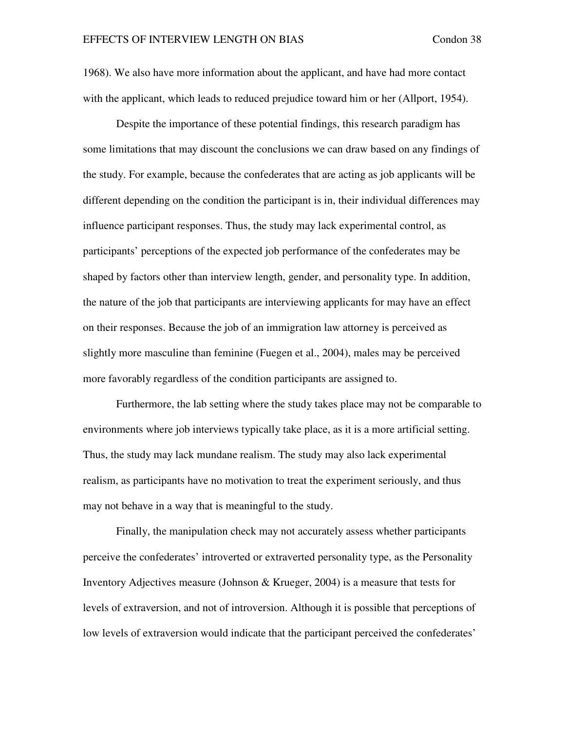1968). We also have more information about the applicant, and have had more contact with the applicant, which leads to reduced prejudice toward him or her (Allport, 1954).

Despite the importance of these potential findings, this research paradigm has some limitations that may discount the conclusions we can draw based on any findings of the study. For example, because the confederates that are acting as job applicants will be different depending on the condition the participant is in, their individual differences may influence participant responses. Thus, the study may lack experimental control, as participants' perceptions of the expected job performance of the confederates may be shaped by factors other than interview length, gender, and personality type. In addition, the nature of the job that participants are interviewing applicants for may have an effect on their responses. Because the job of an immigration law attorney is perceived as slightly more masculine than feminine (Fuegen et al., 2004), males may be perceived more favorably regardless of the condition participants are assigned to.

Furthermore, the lab setting where the study takes place may not be comparable to environments where job interviews typically take place, as it is a more artificial setting. Thus, the study may lack mundane realism. The study may also lack experimental realism, as participants have no motivation to treat the experiment seriously, and thus may not behave in a way that is meaningful to the study.

Finally, the manipulation check may not accurately assess whether participants perceive the confederates' introverted or extraverted personality type, as the Personality Inventory Adjectives measure (Johnson & Krueger, 2004) is a measure that tests for levels of extraversion, and not of introversion. Although it is possible that perceptions of low levels of extraversion would indicate that the participant perceived the confederates'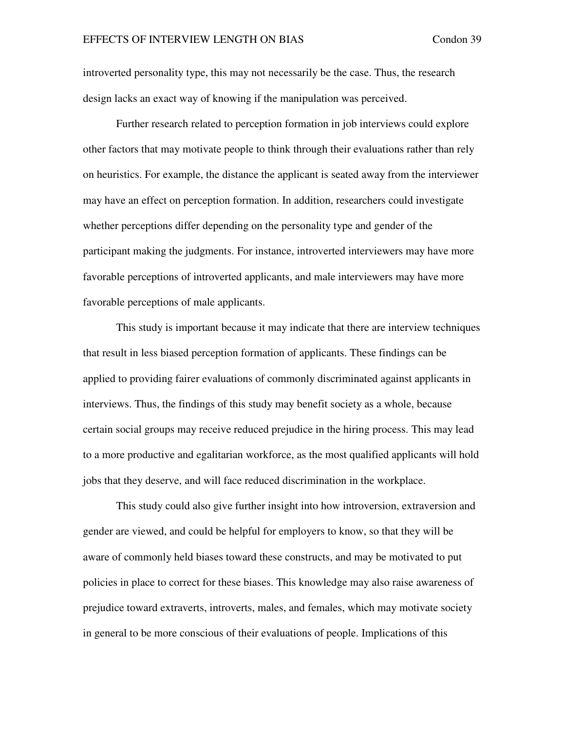introverted personality type, this may not necessarily be the case. Thus, the research design lacks an exact way of knowing if the manipulation was perceived.

 Further research related to perception formation in job interviews could explore other factors that may motivate people to think through their evaluations rather than rely on heuristics. For example, the distance the applicant is seated away from the interviewer may have an effect on perception formation. In addition, researchers could investigate whether perceptions differ depending on the personality type and gender of the participant making the judgments. For instance, introverted interviewers may have more favorable perceptions of introverted applicants, and male interviewers may have more favorable perceptions of male applicants.

This study is important because it may indicate that there are interview techniques that result in less biased perception formation of applicants. These findings can be applied to providing fairer evaluations of commonly discriminated against applicants in interviews. Thus, the findings of this study may benefit society as a whole, because certain social groups may receive reduced prejudice in the hiring process. This may lead to a more productive and egalitarian workforce, as the most qualified applicants will hold jobs that they deserve, and will face reduced discrimination in the workplace.

This study could also give further insight into how introversion, extraversion and gender are viewed, and could be helpful for employers to know, so that they will be aware of commonly held biases toward these constructs, and may be motivated to put policies in place to correct for these biases. This knowledge may also raise awareness of prejudice toward extraverts, introverts, males, and females, which may motivate society in general to be more conscious of their evaluations of people. Implications of this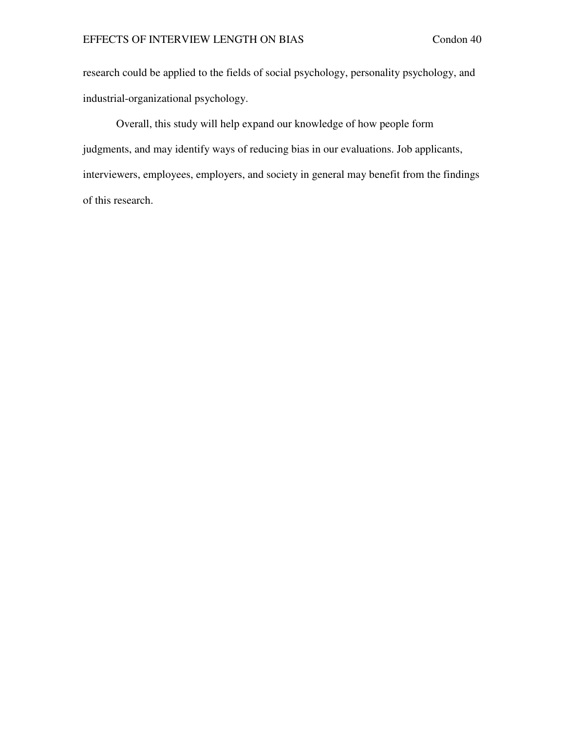research could be applied to the fields of social psychology, personality psychology, and industrial-organizational psychology.

Overall, this study will help expand our knowledge of how people form judgments, and may identify ways of reducing bias in our evaluations. Job applicants, interviewers, employees, employers, and society in general may benefit from the findings of this research.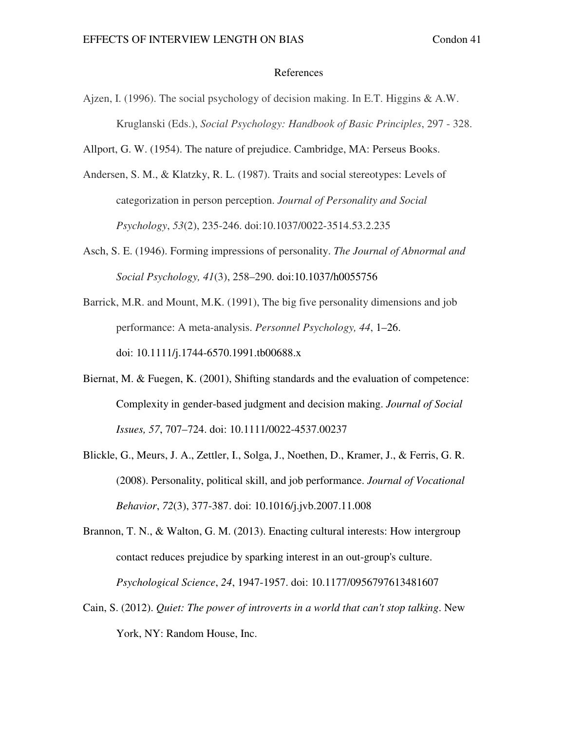#### References

Ajzen, I. (1996). The social psychology of decision making. In E.T. Higgins  $\&$  A.W. Kruglanski (Eds.), *Social Psychology: Handbook of Basic Principles*, 297 - 328.

Allport, G. W. (1954). The nature of prejudice. Cambridge, MA: Perseus Books.

- Andersen, S. M., & Klatzky, R. L. (1987). Traits and social stereotypes: Levels of categorization in person perception. *Journal of Personality and Social Psychology*, *53*(2), 235-246. doi:10.1037/0022-3514.53.2.235
- Asch, S. E. (1946). Forming impressions of personality. *The Journal of Abnormal and Social Psychology, 41*(3), 258–290. doi:10.1037/h0055756
- Barrick, M.R. and Mount, M.K. (1991), The big five personality dimensions and job performance: A meta-analysis. *Personnel Psychology, 44*, 1–26. doi: 10.1111/j.1744-6570.1991.tb00688.x
- Biernat, M. & Fuegen, K. (2001), Shifting standards and the evaluation of competence: Complexity in gender-based judgment and decision making. *Journal of Social Issues, 57*, 707–724. doi: 10.1111/0022-4537.00237
- Blickle, G., Meurs, J. A., Zettler, I., Solga, J., Noethen, D., Kramer, J., & Ferris, G. R. (2008). Personality, political skill, and job performance. *Journal of Vocational Behavior*, *72*(3), 377-387. doi: 10.1016/j.jvb.2007.11.008

Brannon, T. N., & Walton, G. M. (2013). Enacting cultural interests: How intergroup contact reduces prejudice by sparking interest in an out-group's culture. *Psychological Science*, *24*, 1947-1957. doi: 10.1177/0956797613481607

Cain, S. (2012). *Quiet: The power of introverts in a world that can't stop talking*. New York, NY: Random House, Inc.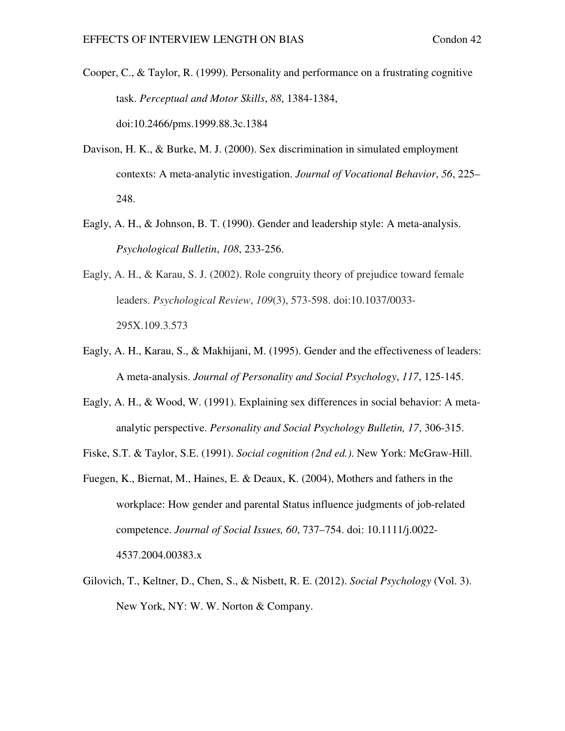- Cooper, C., & Taylor, R. (1999). Personality and performance on a frustrating cognitive task. *Perceptual and Motor Skills*, *88*, 1384-1384, doi:10.2466/pms.1999.88.3c.1384
- Davison, H. K., & Burke, M. J. (2000). Sex discrimination in simulated employment contexts: A meta-analytic investigation. *Journal of Vocational Behavior*, *56*, 225– 248.
- Eagly, A. H., & Johnson, B. T. (1990). Gender and leadership style: A meta-analysis. *Psychological Bulletin*, *108*, 233-256.
- Eagly, A. H., & Karau, S. J. (2002). Role congruity theory of prejudice toward female leaders. *Psychological Review*, *109*(3), 573-598. doi:10.1037/0033- 295X.109.3.573
- Eagly, A. H., Karau, S., & Makhijani, M. (1995). Gender and the effectiveness of leaders: A meta-analysis. *Journal of Personality and Social Psychology*, *117*, 125-145.
- Eagly, A. H., & Wood, W. (1991). Explaining sex differences in social behavior: A metaanalytic perspective. *Personality and Social Psychology Bulletin, 17*, 306-315.
- Fiske, S.T. & Taylor, S.E. (1991). *Social cognition (2nd ed.)*. New York: McGraw-Hill.
- Fuegen, K., Biernat, M., Haines, E. & Deaux, K. (2004), Mothers and fathers in the workplace: How gender and parental Status influence judgments of job-related competence. *Journal of Social Issues, 60*, 737–754. doi: 10.1111/j.0022- 4537.2004.00383.x
- Gilovich, T., Keltner, D., Chen, S., & Nisbett, R. E. (2012). *Social Psychology* (Vol. 3). New York, NY: W. W. Norton & Company.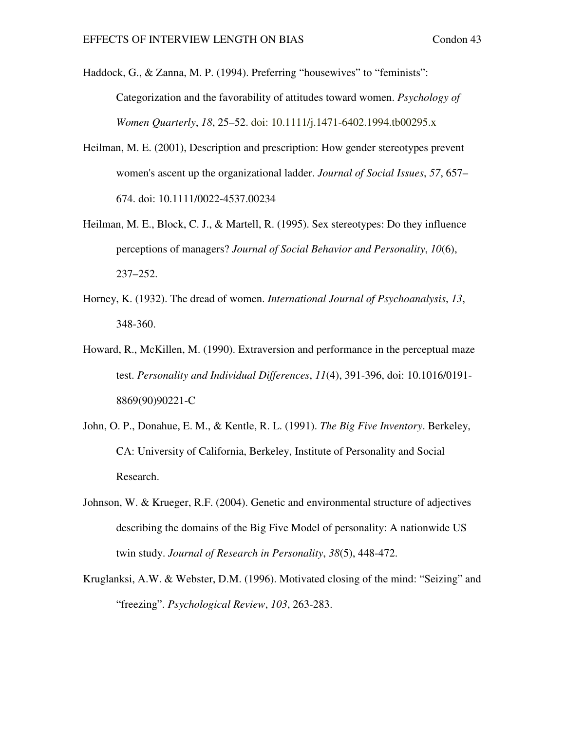Haddock, G., & Zanna, M. P. (1994). Preferring "housewives" to "feminists": Categorization and the favorability of attitudes toward women. *Psychology of Women Quarterly*, *18*, 25–52. doi: 10.1111/j.1471-6402.1994.tb00295.x

- Heilman, M. E. (2001), Description and prescription: How gender stereotypes prevent women's ascent up the organizational ladder. *Journal of Social Issues*, *57*, 657– 674. doi: 10.1111/0022-4537.00234
- Heilman, M. E., Block, C. J., & Martell, R. (1995). Sex stereotypes: Do they influence perceptions of managers? *Journal of Social Behavior and Personality*, *10*(6), 237–252.
- Horney, K. (1932). The dread of women. *International Journal of Psychoanalysis*, *13*, 348-360.
- Howard, R., McKillen, M. (1990). Extraversion and performance in the perceptual maze test. *Personality and Individual Differences*, *11*(4), 391-396, doi: 10.1016/0191- 8869(90)90221-C
- John, O. P., Donahue, E. M., & Kentle, R. L. (1991). *The Big Five Inventory*. Berkeley, CA: University of California, Berkeley, Institute of Personality and Social Research.
- Johnson, W. & Krueger, R.F. (2004). Genetic and environmental structure of adjectives describing the domains of the Big Five Model of personality: A nationwide US twin study. *Journal of Research in Personality*, *38*(5), 448-472.
- Kruglanksi, A.W. & Webster, D.M. (1996). Motivated closing of the mind: "Seizing" and "freezing". *Psychological Review*, *103*, 263-283.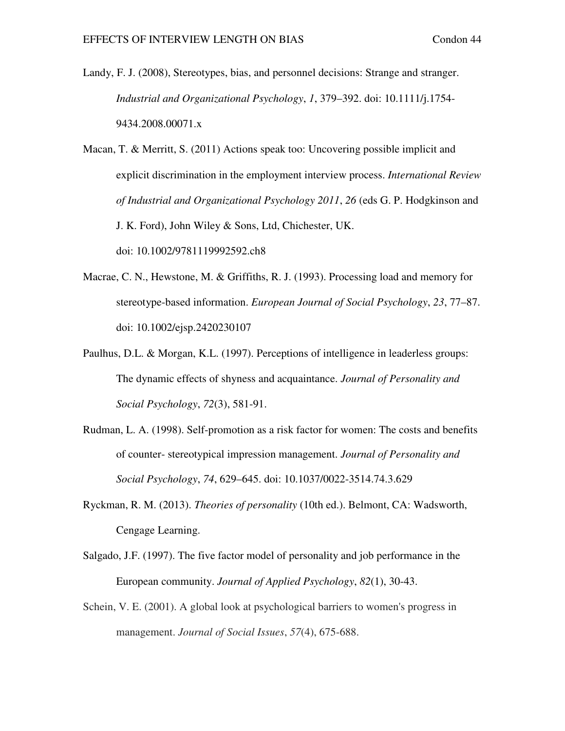Landy, F. J. (2008), Stereotypes, bias, and personnel decisions: Strange and stranger. *Industrial and Organizational Psychology*, *1*, 379–392. doi: 10.1111/j.1754- 9434.2008.00071.x

Macan, T. & Merritt, S. (2011) Actions speak too: Uncovering possible implicit and explicit discrimination in the employment interview process. *International Review of Industrial and Organizational Psychology 2011*, *26* (eds G. P. Hodgkinson and J. K. Ford), John Wiley & Sons, Ltd, Chichester, UK. doi: 10.1002/9781119992592.ch8

- Macrae, C. N., Hewstone, M. & Griffiths, R. J. (1993). Processing load and memory for stereotype-based information. *European Journal of Social Psychology*, *23*, 77–87. doi: 10.1002/ejsp.2420230107
- Paulhus, D.L. & Morgan, K.L. (1997). Perceptions of intelligence in leaderless groups: The dynamic effects of shyness and acquaintance. *Journal of Personality and Social Psychology*, *72*(3), 581-91.
- Rudman, L. A. (1998). Self-promotion as a risk factor for women: The costs and benefits of counter- stereotypical impression management. *Journal of Personality and Social Psychology*, *74*, 629–645. doi: 10.1037/0022-3514.74.3.629
- Ryckman, R. M. (2013). *Theories of personality* (10th ed.). Belmont, CA: Wadsworth, Cengage Learning.
- Salgado, J.F. (1997). The five factor model of personality and job performance in the European community. *Journal of Applied Psychology*, *82*(1), 30-43.
- Schein, V. E. (2001). A global look at psychological barriers to women's progress in management. *Journal of Social Issues*, *57*(4), 675-688.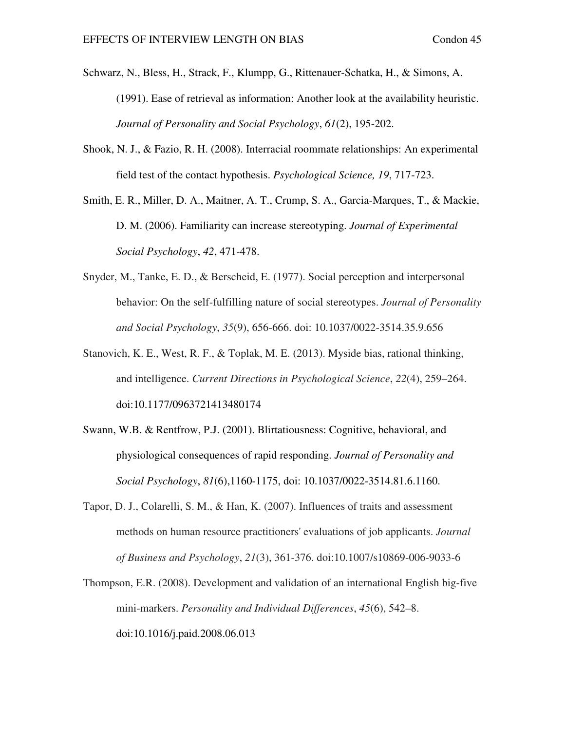- Schwarz, N., Bless, H., Strack, F., Klumpp, G., Rittenauer-Schatka, H., & Simons, A. (1991). Ease of retrieval as information: Another look at the availability heuristic. *Journal of Personality and Social Psychology*, *61*(2), 195-202.
- Shook, N. J., & Fazio, R. H. (2008). Interracial roommate relationships: An experimental field test of the contact hypothesis. *Psychological Science, 19*, 717-723.
- Smith, E. R., Miller, D. A., Maitner, A. T., Crump, S. A., Garcia-Marques, T., & Mackie, D. M. (2006). Familiarity can increase stereotyping. *Journal of Experimental Social Psychology*, *42*, 471-478.
- Snyder, M., Tanke, E. D., & Berscheid, E. (1977). Social perception and interpersonal behavior: On the self-fulfilling nature of social stereotypes. *Journal of Personality and Social Psychology*, *35*(9), 656-666. doi: 10.1037/0022-3514.35.9.656
- Stanovich, K. E., West, R. F., & Toplak, M. E. (2013). Myside bias, rational thinking, and intelligence. *Current Directions in Psychological Science*, *22*(4), 259–264. doi:10.1177/0963721413480174
- Swann, W.B. & Rentfrow, P.J. (2001). Blirtatiousness: Cognitive, behavioral, and physiological consequences of rapid responding. *Journal of Personality and Social Psychology*, *81*(6),1160-1175, doi: 10.1037/0022-3514.81.6.1160.
- Tapor, D. J., Colarelli, S. M., & Han, K. (2007). Influences of traits and assessment methods on human resource practitioners' evaluations of job applicants. *Journal of Business and Psychology*, *21*(3), 361-376. doi:10.1007/s10869-006-9033-6
- Thompson, E.R. (2008). Development and validation of an international English big-five mini-markers. *Personality and Individual Differences*, *45*(6), 542–8. doi:10.1016/j.paid.2008.06.013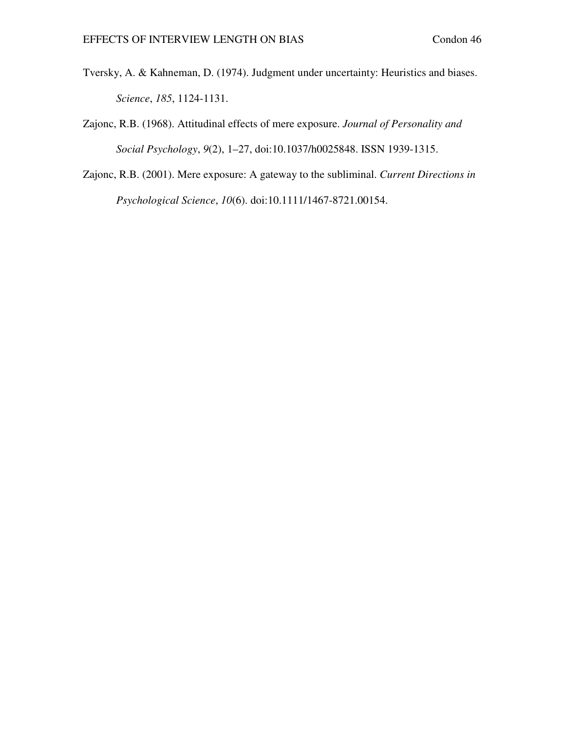- Tversky, A. & Kahneman, D. (1974). Judgment under uncertainty: Heuristics and biases. *Science*, *185*, 1124-1131.
- Zajonc, R.B. (1968). Attitudinal effects of mere exposure. *Journal of Personality and Social Psychology*, *9*(2), 1–27, doi:10.1037/h0025848. ISSN 1939-1315.
- Zajonc, R.B. (2001). Mere exposure: A gateway to the subliminal. *Current Directions in Psychological Science*, *10*(6). doi:10.1111/1467-8721.00154.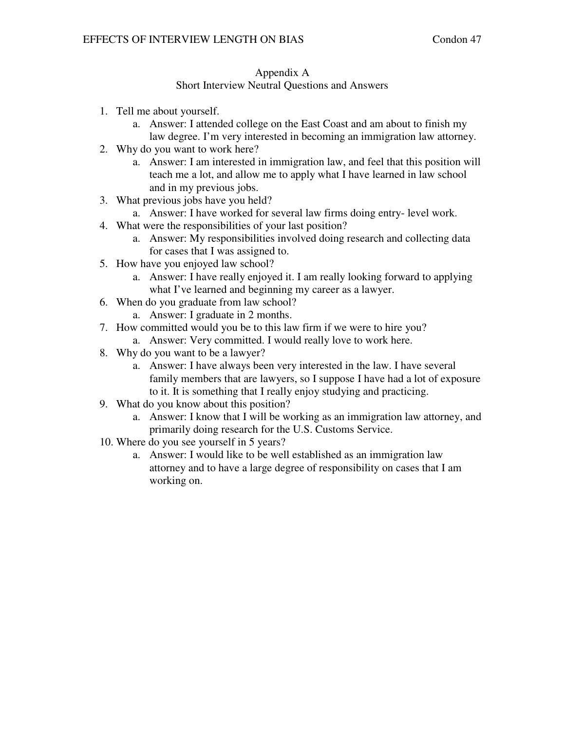## Appendix A

## Short Interview Neutral Questions and Answers

- 1. Tell me about yourself.
	- a. Answer: I attended college on the East Coast and am about to finish my law degree. I'm very interested in becoming an immigration law attorney.
- 2. Why do you want to work here?
	- a. Answer: I am interested in immigration law, and feel that this position will teach me a lot, and allow me to apply what I have learned in law school and in my previous jobs.
- 3. What previous jobs have you held?
	- a. Answer: I have worked for several law firms doing entry- level work.
- 4. What were the responsibilities of your last position?
	- a. Answer: My responsibilities involved doing research and collecting data for cases that I was assigned to.
- 5. How have you enjoyed law school?
	- a. Answer: I have really enjoyed it. I am really looking forward to applying what I've learned and beginning my career as a lawyer.
- 6. When do you graduate from law school?
	- a. Answer: I graduate in 2 months.
- 7. How committed would you be to this law firm if we were to hire you?
	- a. Answer: Very committed. I would really love to work here.
- 8. Why do you want to be a lawyer?
	- a. Answer: I have always been very interested in the law. I have several family members that are lawyers, so I suppose I have had a lot of exposure to it. It is something that I really enjoy studying and practicing.
- 9. What do you know about this position?
	- a. Answer: I know that I will be working as an immigration law attorney, and primarily doing research for the U.S. Customs Service.
- 10. Where do you see yourself in 5 years?
	- a. Answer: I would like to be well established as an immigration law attorney and to have a large degree of responsibility on cases that I am working on.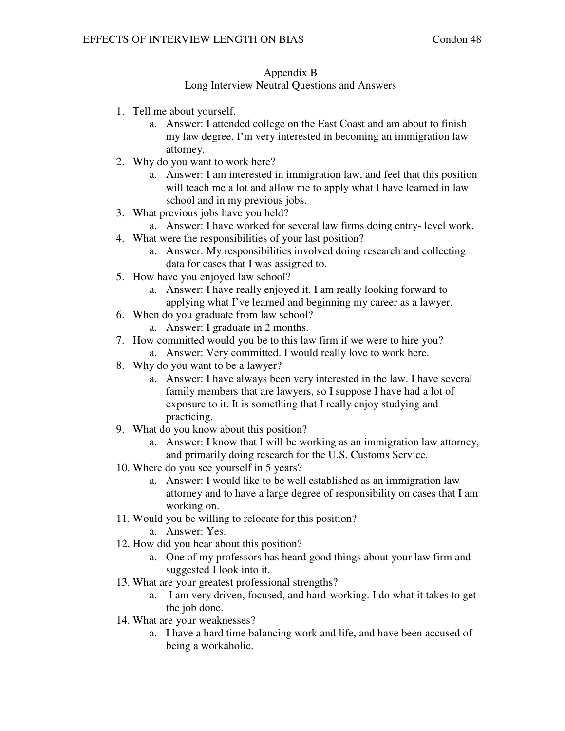## Appendix B

## Long Interview Neutral Questions and Answers

- 1. Tell me about yourself.
	- a. Answer: I attended college on the East Coast and am about to finish my law degree. I'm very interested in becoming an immigration law attorney.
- 2. Why do you want to work here?
	- a. Answer: I am interested in immigration law, and feel that this position will teach me a lot and allow me to apply what I have learned in law school and in my previous jobs.
- 3. What previous jobs have you held?
- a. Answer: I have worked for several law firms doing entry- level work.
- 4. What were the responsibilities of your last position?
	- a. Answer: My responsibilities involved doing research and collecting data for cases that I was assigned to.
- 5. How have you enjoyed law school?
	- a. Answer: I have really enjoyed it. I am really looking forward to applying what I've learned and beginning my career as a lawyer.
- 6. When do you graduate from law school?
	- a. Answer: I graduate in 2 months.
- 7. How committed would you be to this law firm if we were to hire you?
	- a. Answer: Very committed. I would really love to work here.
- 8. Why do you want to be a lawyer?
	- a. Answer: I have always been very interested in the law. I have several family members that are lawyers, so I suppose I have had a lot of exposure to it. It is something that I really enjoy studying and practicing.
- 9. What do you know about this position?
	- a. Answer: I know that I will be working as an immigration law attorney, and primarily doing research for the U.S. Customs Service.
- 10. Where do you see yourself in 5 years?
	- a. Answer: I would like to be well established as an immigration law attorney and to have a large degree of responsibility on cases that I am working on.
- 11. Would you be willing to relocate for this position?
	- a. Answer: Yes.
- 12. How did you hear about this position?
	- a. One of my professors has heard good things about your law firm and suggested I look into it.
- 13. What are your greatest professional strengths?
	- a. I am very driven, focused, and hard-working. I do what it takes to get the job done.
- 14. What are your weaknesses?
	- a. I have a hard time balancing work and life, and have been accused of being a workaholic.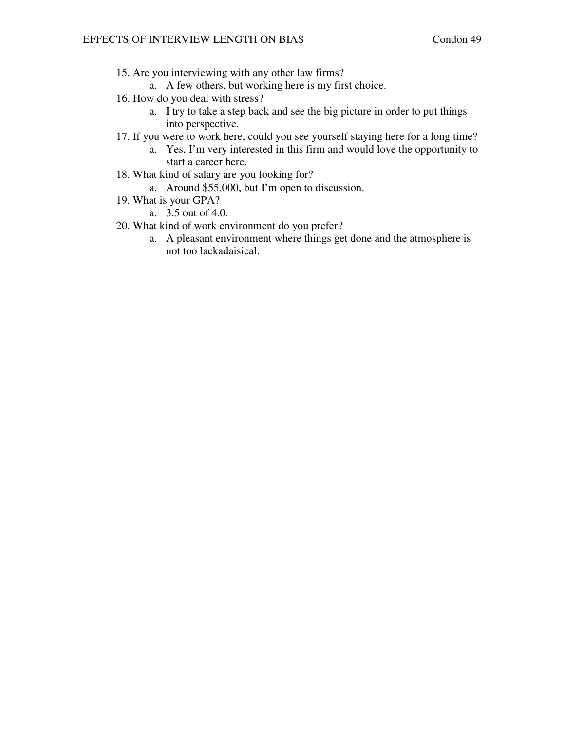- 15. Are you interviewing with any other law firms?
	- a. A few others, but working here is my first choice.
- 16. How do you deal with stress?
	- a. I try to take a step back and see the big picture in order to put things into perspective.
- 17. If you were to work here, could you see yourself staying here for a long time?
	- a. Yes, I'm very interested in this firm and would love the opportunity to start a career here.
- 18. What kind of salary are you looking for?
	- a. Around \$55,000, but I'm open to discussion.
- 19. What is your GPA?
	- a. 3.5 out of 4.0.
- 20. What kind of work environment do you prefer?
	- a. A pleasant environment where things get done and the atmosphere is not too lackadaisical.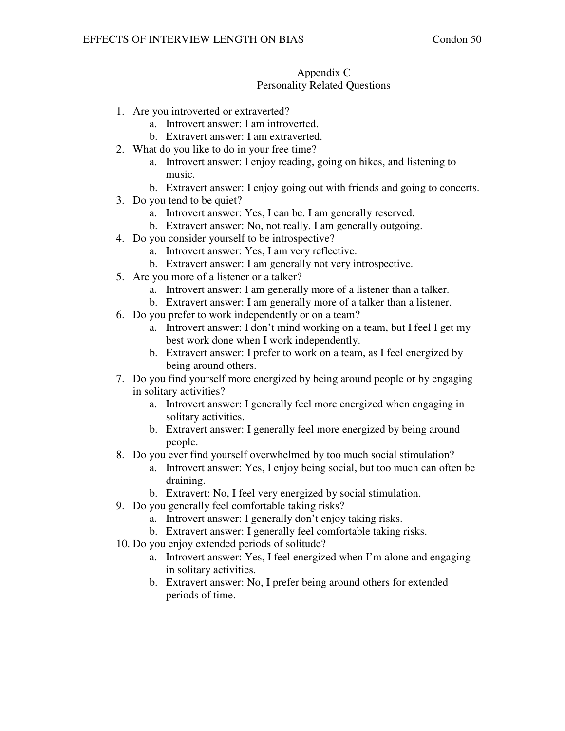### Appendix C Personality Related Questions

- 1. Are you introverted or extraverted?
	- a. Introvert answer: I am introverted.
	- b. Extravert answer: I am extraverted.
- 2. What do you like to do in your free time?
	- a. Introvert answer: I enjoy reading, going on hikes, and listening to music.
	- b. Extravert answer: I enjoy going out with friends and going to concerts.
- 3. Do you tend to be quiet?
	- a. Introvert answer: Yes, I can be. I am generally reserved.
	- b. Extravert answer: No, not really. I am generally outgoing.
- 4. Do you consider yourself to be introspective?
	- a. Introvert answer: Yes, I am very reflective.
	- b. Extravert answer: I am generally not very introspective.
- 5. Are you more of a listener or a talker?
	- a. Introvert answer: I am generally more of a listener than a talker.
	- b. Extravert answer: I am generally more of a talker than a listener.
- 6. Do you prefer to work independently or on a team?
	- a. Introvert answer: I don't mind working on a team, but I feel I get my best work done when I work independently.
	- b. Extravert answer: I prefer to work on a team, as I feel energized by being around others.
- 7. Do you find yourself more energized by being around people or by engaging in solitary activities?
	- a. Introvert answer: I generally feel more energized when engaging in solitary activities.
	- b. Extravert answer: I generally feel more energized by being around people.
- 8. Do you ever find yourself overwhelmed by too much social stimulation?
	- a. Introvert answer: Yes, I enjoy being social, but too much can often be draining.
	- b. Extravert: No, I feel very energized by social stimulation.
- 9. Do you generally feel comfortable taking risks?
	- a. Introvert answer: I generally don't enjoy taking risks.
	- b. Extravert answer: I generally feel comfortable taking risks.
- 10. Do you enjoy extended periods of solitude?
	- a. Introvert answer: Yes, I feel energized when I'm alone and engaging in solitary activities.
	- b. Extravert answer: No, I prefer being around others for extended periods of time.